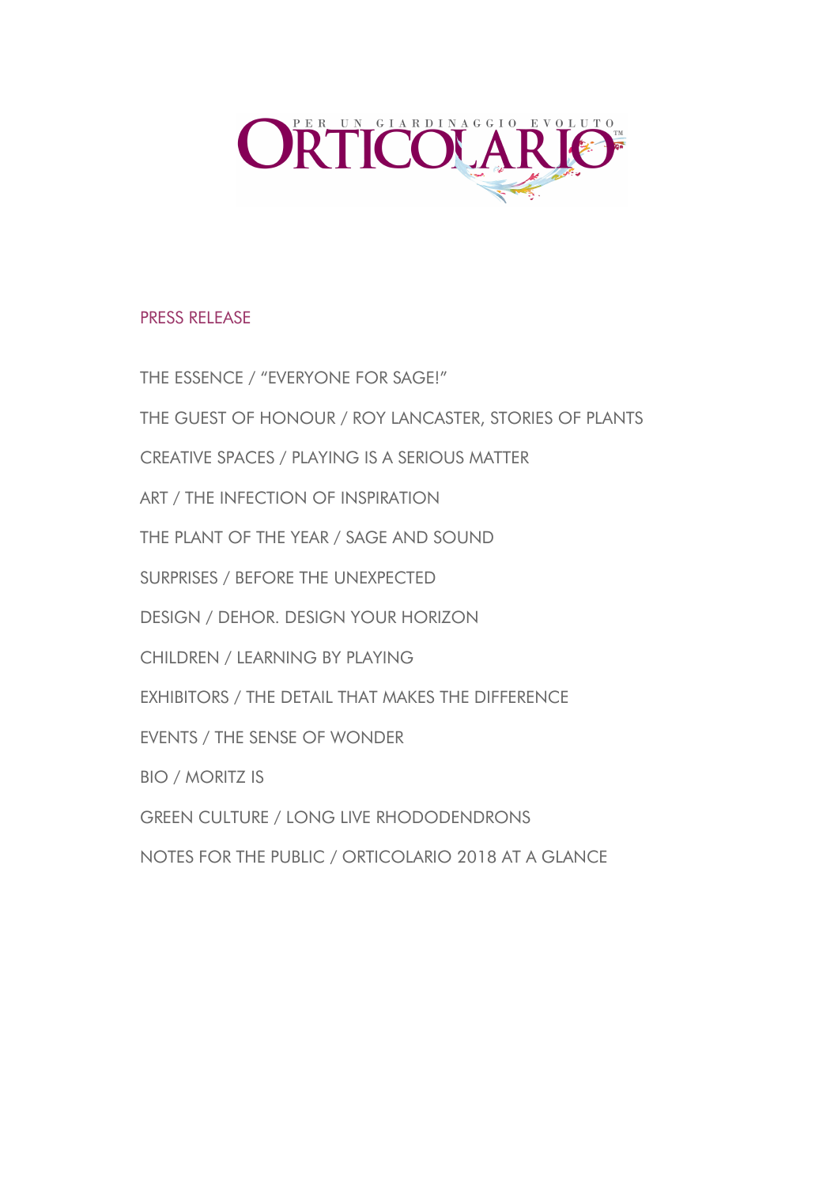

## PRESS RELEASE

THE ESSENCE / "EVERYONE FOR SAGE!" THE GUEST OF HONOUR / ROY LANCASTER, STORIES OF PLANTS CREATIVE SPACES / PLAYING IS A SERIOUS MATTER ART / THE INFECTION OF INSPIRATION THE PLANT OF THE YEAR / SAGE AND SOUND SURPRISES / BEFORE THE UNEXPECTED DESIGN / DEHOR. DESIGN YOUR HORIZON CHILDREN / LEARNING BY PLAYING EXHIBITORS / THE DETAIL THAT MAKES THE DIFFERENCE EVENTS / THE SENSE OF WONDER BIO / MORITZ IS GREEN CULTURE / LONG LIVE RHODODENDRONS NOTES FOR THE PUBLIC / ORTICOLARIO 2018 AT A GLANCE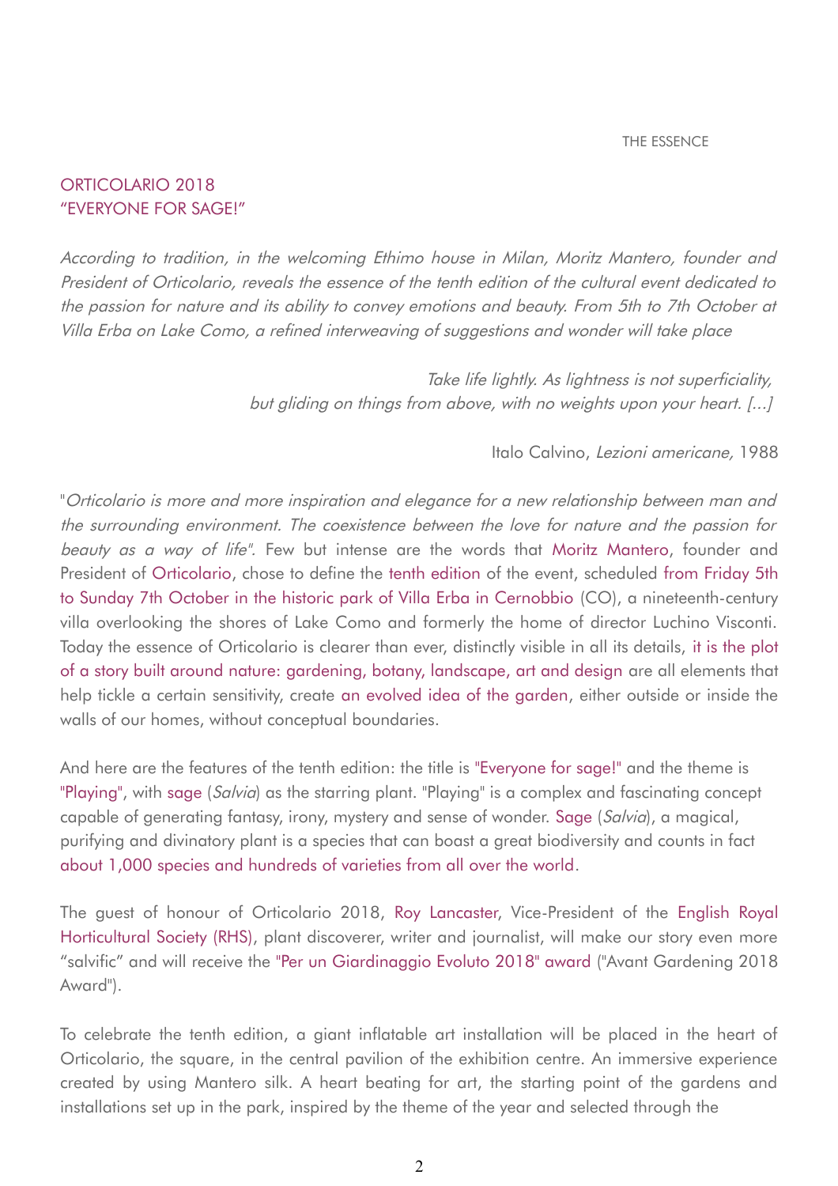## ORTICOLARIO 2018 "EVERYONE FOR SAGE!"

According to tradition, in the welcoming Ethimo house in Milan, Moritz Mantero, founder and President of Orticolario, reveals the essence of the tenth edition of the cultural event dedicated to the passion for nature and its ability to convey emotions and beauty. From 5th to 7th October at Villa Erba on Lake Como, a refined interweaving of suggestions and wonder will take place

> Take life lightly. As lightness is not superficiality, but gliding on things from above, with no weights upon your heart. [...]

#### Italo Calvino, Lezioni americane, 1988

"Orticolario is more and more inspiration and elegance for a new relationship between man and the surrounding environment. The coexistence between the love for nature and the passion for beauty as a way of life". Few but intense are the words that Moritz Mantero, founder and President of Orticolario, chose to define the tenth edition of the event, scheduled from Friday 5th to Sunday 7th October in the historic park of Villa Erba in Cernobbio (CO), a nineteenth-century villa overlooking the shores of Lake Como and formerly the home of director Luchino Visconti. Today the essence of Orticolario is clearer than ever, distinctly visible in all its details, it is the plot of a story built around nature: gardening, botany, landscape, art and design are all elements that help tickle a certain sensitivity, create an evolved idea of the garden, either outside or inside the walls of our homes, without conceptual boundaries.

And here are the features of the tenth edition: the title is "Everyone for sage!" and the theme is "Playing", with sage (Salvia) as the starring plant. "Playing" is a complex and fascinating concept capable of generating fantasy, irony, mystery and sense of wonder. Sage (Salvia), a magical, purifying and divinatory plant is a species that can boast a great biodiversity and counts in fact about 1,000 species and hundreds of varieties from all over the world.

The guest of honour of Orticolario 2018, Roy Lancaster, Vice-President of the English Royal Horticultural Society (RHS), plant discoverer, writer and journalist, will make our story even more "salvific" and will receive the "Per un Giardinaggio Evoluto 2018" award ("Avant Gardening 2018 Award").

To celebrate the tenth edition, a giant inflatable art installation will be placed in the heart of Orticolario, the square, in the central pavilion of the exhibition centre. An immersive experience created by using Mantero silk. A heart beating for art, the starting point of the gardens and installations set up in the park, inspired by the theme of the year and selected through the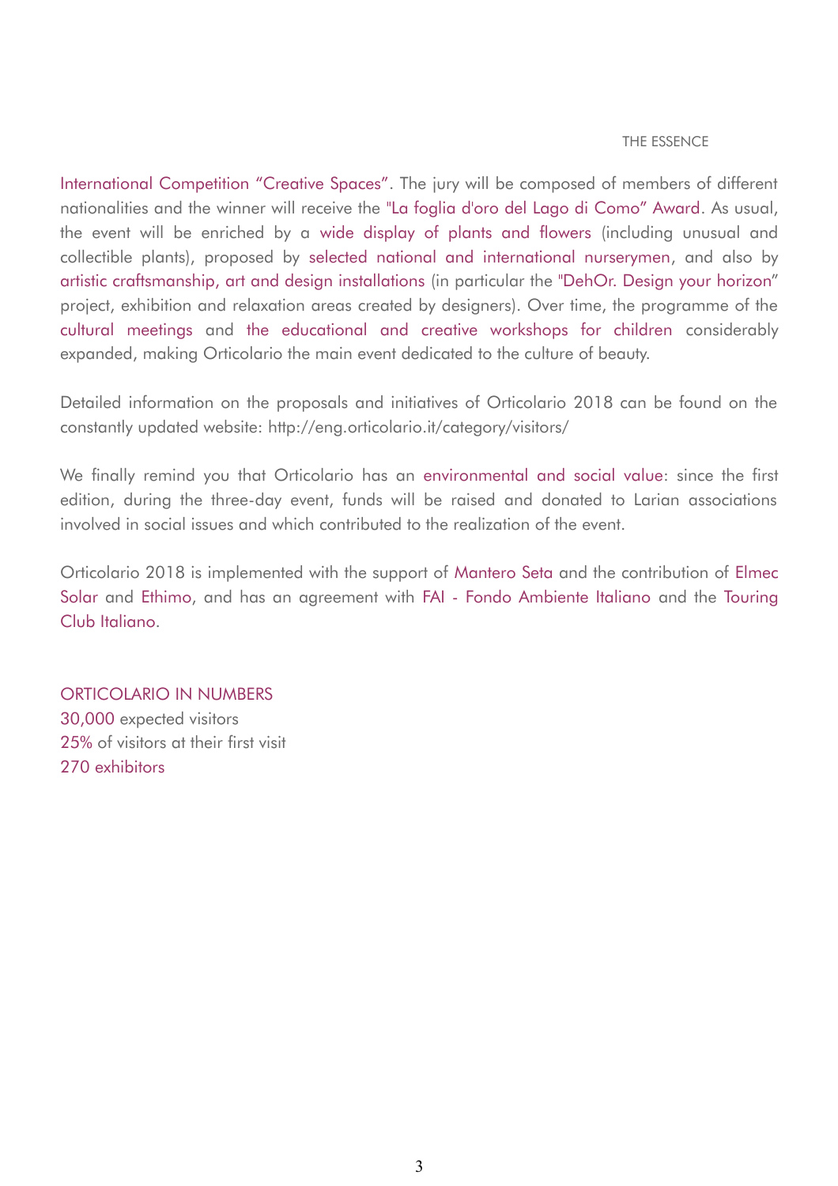#### THE ESSENCE

International Competition "Creative Spaces". The jury will be composed of members of different nationalities and the winner will receive the "La foglia d'oro del Lago di Como" Award. As usual, the event will be enriched by a wide display of plants and flowers (including unusual and collectible plants), proposed by selected national and international nurserymen, and also by artistic craftsmanship, art and design installations (in particular the "DehOr. Design your horizon" project, exhibition and relaxation areas created by designers). Over time, the programme of the cultural meetings and the educational and creative workshops for children considerably expanded, making Orticolario the main event dedicated to the culture of beauty.

Detailed information on the proposals and initiatives of Orticolario 2018 can be found on the constantly updated website: http://eng.orticolario.it/category/visitors/

We finally remind you that Orticolario has an environmental and social value: since the first edition, during the three-day event, funds will be raised and donated to Larian associations involved in social issues and which contributed to the realization of the event.

Orticolario 2018 is implemented with the support of Mantero Seta and the contribution of Elmec Solar and Ethimo, and has an agreement with FAI - Fondo Ambiente Italiano and the Touring Club Italiano.

ORTICOLARIO IN NUMBERS 30,000 expected visitors 25% of visitors at their first visit 270 exhibitors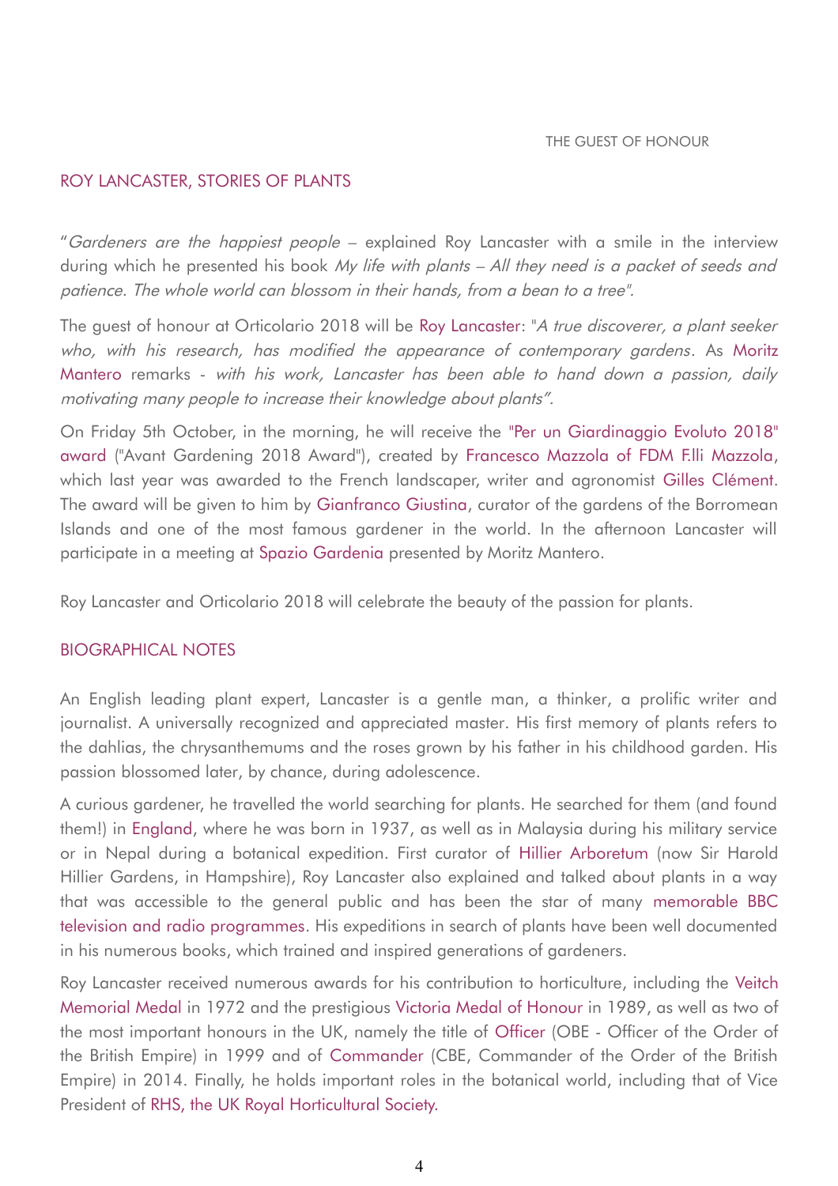## ROY LANCASTER, STORIES OF PLANTS

"Gardeners are the happiest people – explained Roy Lancaster with a smile in the interview during which he presented his book My life with plants – All they need is a packet of seeds and patience. The whole world can blossom in their hands, from a bean to a tree".

The guest of honour at Orticolario 2018 will be Roy Lancaster: "A true discoverer, a plant seeker who, with his research, has modified the appearance of contemporary gardens. As Moritz Mantero remarks - with his work, Lancaster has been able to hand down a passion, daily motivating many people to increase their knowledge about plants".

On Friday 5th October, in the morning, he will receive the "Per un Giardinaggio Evoluto 2018" award ("Avant Gardening 2018 Award"), created by Francesco Mazzola of FDM F.lli Mazzola, which last year was awarded to the French landscaper, writer and agronomist Gilles Clément. The award will be given to him by Gianfranco Giustina, curator of the gardens of the Borromean Islands and one of the most famous gardener in the world. In the afternoon Lancaster will participate in a meeting at Spazio Gardenia presented by Moritz Mantero.

Roy Lancaster and Orticolario 2018 will celebrate the beauty of the passion for plants.

#### BIOGRAPHICAL NOTES

An English leading plant expert, Lancaster is a gentle man, a thinker, a prolific writer and journalist. A universally recognized and appreciated master. His first memory of plants refers to the dahlias, the chrysanthemums and the roses grown by his father in his childhood garden. His passion blossomed later, by chance, during adolescence.

A curious gardener, he travelled the world searching for plants. He searched for them (and found them!) in England, where he was born in 1937, as well as in Malaysia during his military service or in Nepal during a botanical expedition. First curator of Hillier Arboretum (now Sir Harold Hillier Gardens, in Hampshire), Roy Lancaster also explained and talked about plants in a way that was accessible to the general public and has been the star of many memorable BBC television and radio programmes. His expeditions in search of plants have been well documented in his numerous books, which trained and inspired generations of gardeners.

Roy Lancaster received numerous awards for his contribution to horticulture, including the Veitch Memorial Medal in 1972 and the prestigious Victoria Medal of Honour in 1989, as well as two of the most important honours in the UK, namely the title of Officer (OBE - Officer of the Order of the British Empire) in 1999 and of Commander (CBE, Commander of the Order of the British Empire) in 2014. Finally, he holds important roles in the botanical world, including that of Vice President of RHS, the UK Royal Horticultural Society.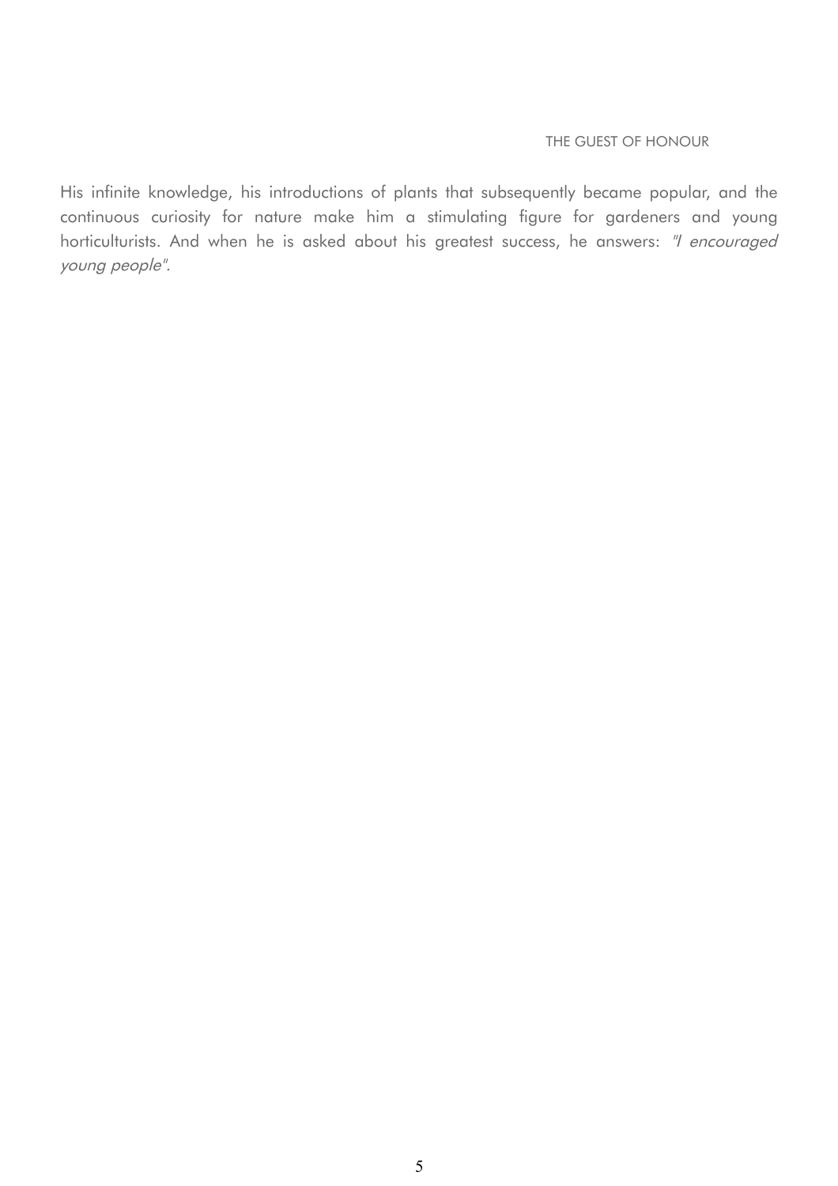#### THE GUEST OF HONOUR

His infinite knowledge, his introductions of plants that subsequently became popular, and the continuous curiosity for nature make him a stimulating figure for gardeners and young horticulturists. And when he is asked about his greatest success, he answers: "I encouraged young people".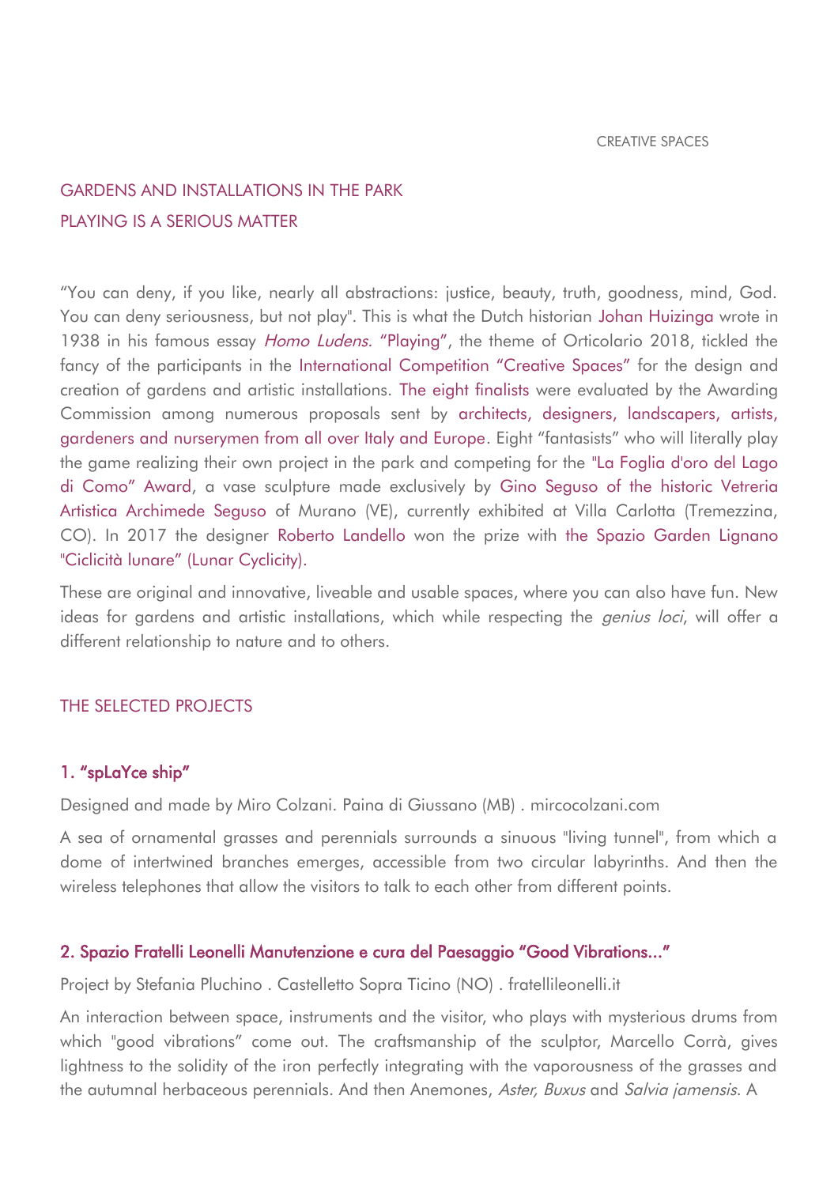# GARDENS AND INSTALLATIONS IN THE PARK PLAYING IS A SERIOUS MATTER

"You can deny, if you like, nearly all abstractions: justice, beauty, truth, goodness, mind, God. You can deny seriousness, but not play". This is what the Dutch historian Johan Huizinga wrote in 1938 in his famous essay *Homo Ludens.* "Playing", the theme of Orticolario 2018, tickled the fancy of the participants in the International Competition "Creative Spaces" for the design and creation of gardens and artistic installations. The eight finalists were evaluated by the Awarding Commission among numerous proposals sent by architects, designers, landscapers, artists, gardeners and nurserymen from all over Italy and Europe. Eight "fantasists" who will literally play the game realizing their own project in the park and competing for the "La Foglia d'oro del Lago di Como" Award, a vase sculpture made exclusively by Gino Seguso of the historic Vetreria Artistica Archimede Seguso of Murano (VE), currently exhibited at Villa Carlotta (Tremezzina, CO). In 2017 the designer Roberto Landello won the prize with the Spazio Garden Lignano "Ciclicità lunare" (Lunar Cyclicity).

These are original and innovative, liveable and usable spaces, where you can also have fun. New ideas for gardens and artistic installations, which while respecting the *genius loci*, will offer a different relationship to nature and to others.

## THE SELECTED PROJECTS

## 1. "spLaYce ship"

Designed and made by Miro Colzani. Paina di Giussano (MB) . mircocolzani.com

A sea of ornamental grasses and perennials surrounds a sinuous "living tunnel", from which a dome of intertwined branches emerges, accessible from two circular labyrinths. And then the wireless telephones that allow the visitors to talk to each other from different points.

## 2. Spazio Fratelli Leonelli Manutenzione e cura del Paesaggio "Good Vibrations..."

Project by Stefania Pluchino . Castelletto Sopra Ticino (NO) . fratellileonelli.it

An interaction between space, instruments and the visitor, who plays with mysterious drums from which "good vibrations" come out. The craftsmanship of the sculptor, Marcello Corrà, gives lightness to the solidity of the iron perfectly integrating with the vaporousness of the grasses and the autumnal herbaceous perennials. And then Anemones, Aster, Buxus and Salvia jamensis. A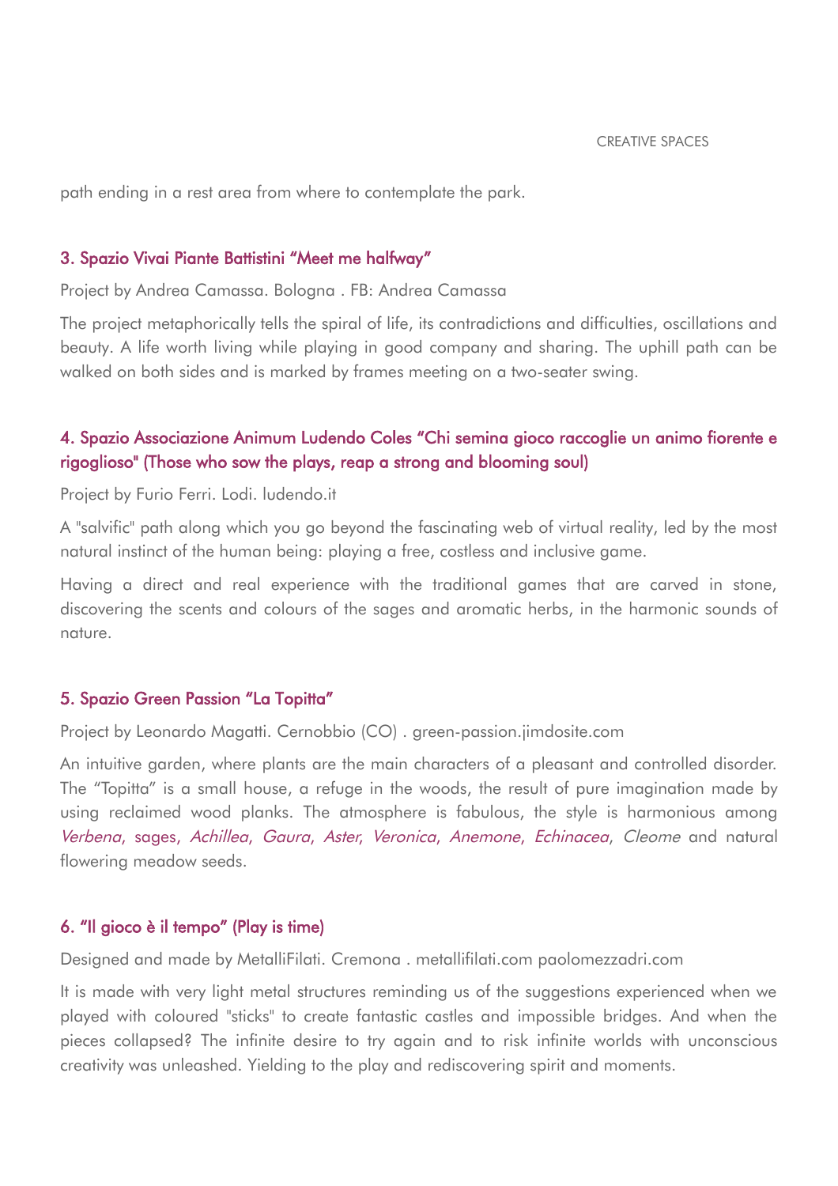path ending in a rest area from where to contemplate the park.

### 3. Spazio Vivai Piante Battistini "Meet me halfway"

Project by Andrea Camassa. Bologna . FB: Andrea Camassa

The project metaphorically tells the spiral of life, its contradictions and difficulties, oscillations and beauty. A life worth living while playing in good company and sharing. The uphill path can be walked on both sides and is marked by frames meeting on a two-seater swing.

# 4. Spazio Associazione Animum Ludendo Coles "Chi semina gioco raccoglie un animo fiorente e rigoglioso" (Those who sow the plays, reap a strong and blooming soul)

Project by Furio Ferri. Lodi. ludendo.it

A "salvific" path along which you go beyond the fascinating web of virtual reality, led by the most natural instinct of the human being: playing a free, costless and inclusive game.

Having a direct and real experience with the traditional games that are carved in stone, discovering the scents and colours of the sages and aromatic herbs, in the harmonic sounds of nature.

## 5. Spazio Green Passion "La Topitta"

Project by Leonardo Magatti. Cernobbio (CO) . green-passion.jimdosite.com

An intuitive garden, where plants are the main characters of a pleasant and controlled disorder. The "Topitta" is a small house, a refuge in the woods, the result of pure imagination made by using reclaimed wood planks. The atmosphere is fabulous, the style is harmonious among Verbena, sages, Achillea, Gaura, Aster, Veronica, Anemone, Echinacea, Cleome and natural flowering meadow seeds.

### 6. "Il gioco è il tempo" (Play is time)

Designed and made by MetalliFilati. Cremona . metallifilati.com paolomezzadri.com

It is made with very light metal structures reminding us of the suggestions experienced when we played with coloured "sticks" to create fantastic castles and impossible bridges. And when the pieces collapsed? The infinite desire to try again and to risk infinite worlds with unconscious creativity was unleashed. Yielding to the play and rediscovering spirit and moments.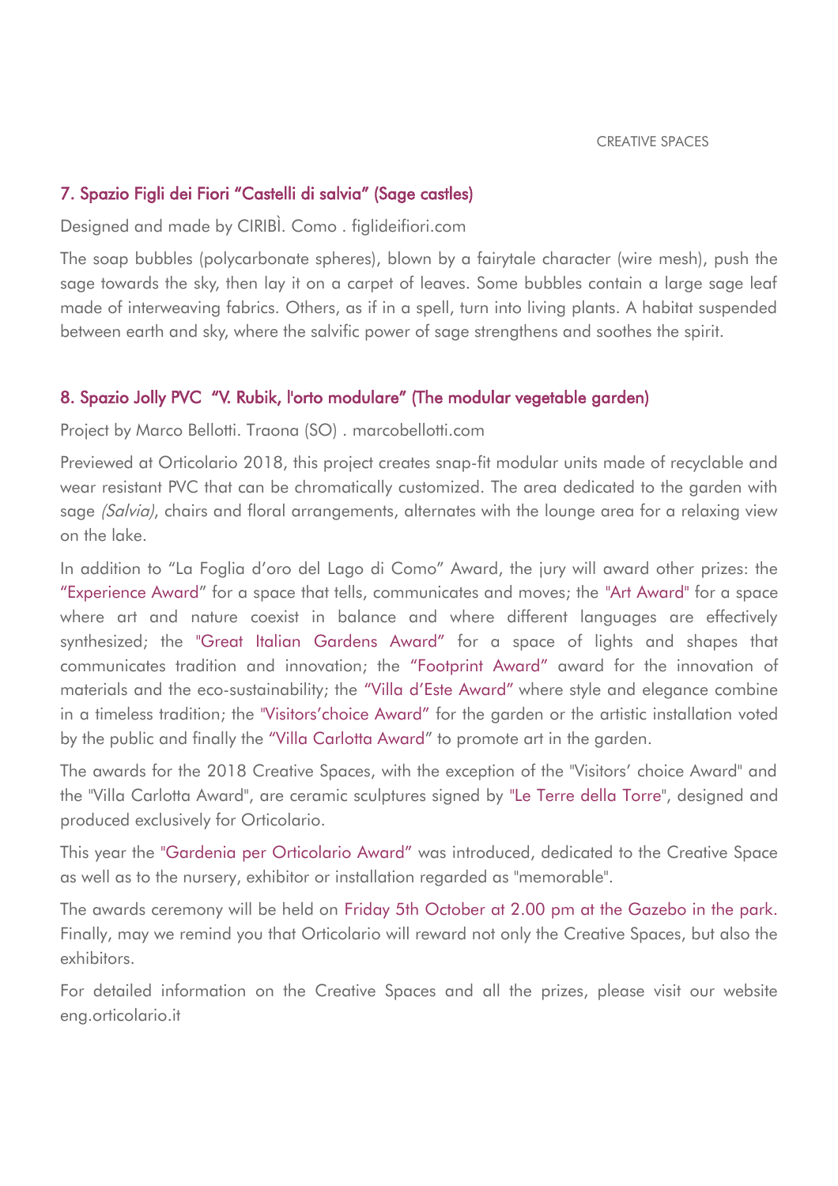## 7. Spazio Figli dei Fiori "Castelli di salvia" (Sage castles)

Designed and made by CIRIBÌ. Como . figlideifiori.com

The soap bubbles (polycarbonate spheres), blown by a fairytale character (wire mesh), push the sage towards the sky, then lay it on a carpet of leaves. Some bubbles contain a large sage leaf made of interweaving fabrics. Others, as if in a spell, turn into living plants. A habitat suspended between earth and sky, where the salvific power of sage strengthens and soothes the spirit.

## 8. Spazio Jolly PVC "V. Rubik, l'orto modulare" (The modular vegetable garden)

Project by Marco Bellotti. Traona (SO) . marcobellotti.com

Previewed at Orticolario 2018, this project creates snap-fit modular units made of recyclable and wear resistant PVC that can be chromatically customized. The area dedicated to the garden with sage *(Salvia)*, chairs and floral arrangements, alternates with the lounge area for a relaxing view on the lake.

In addition to "La Foglia d'oro del Lago di Como" Award, the jury will award other prizes: the "Experience Award" for a space that tells, communicates and moves; the "Art Award" for a space where art and nature coexist in balance and where different languages are effectively synthesized; the "Great Italian Gardens Award" for a space of lights and shapes that communicates tradition and innovation; the "Footprint Award" award for the innovation of materials and the eco-sustainability; the "Villa d'Este Award" where style and elegance combine in a timeless tradition; the "Visitors'choice Award" for the garden or the artistic installation voted by the public and finally the "Villa Carlotta Award" to promote art in the garden.

The awards for the 2018 Creative Spaces, with the exception of the "Visitors' choice Award" and the "Villa Carlotta Award", are ceramic sculptures signed by "Le Terre della Torre", designed and produced exclusively for Orticolario.

This year the "Gardenia per Orticolario Award" was introduced, dedicated to the Creative Space as well as to the nursery, exhibitor or installation regarded as "memorable".

The awards ceremony will be held on Friday 5th October at 2.00 pm at the Gazebo in the park. Finally, may we remind you that Orticolario will reward not only the Creative Spaces, but also the exhibitors.

For detailed information on the Creative Spaces and all the prizes, please visit our website eng.orticolario.it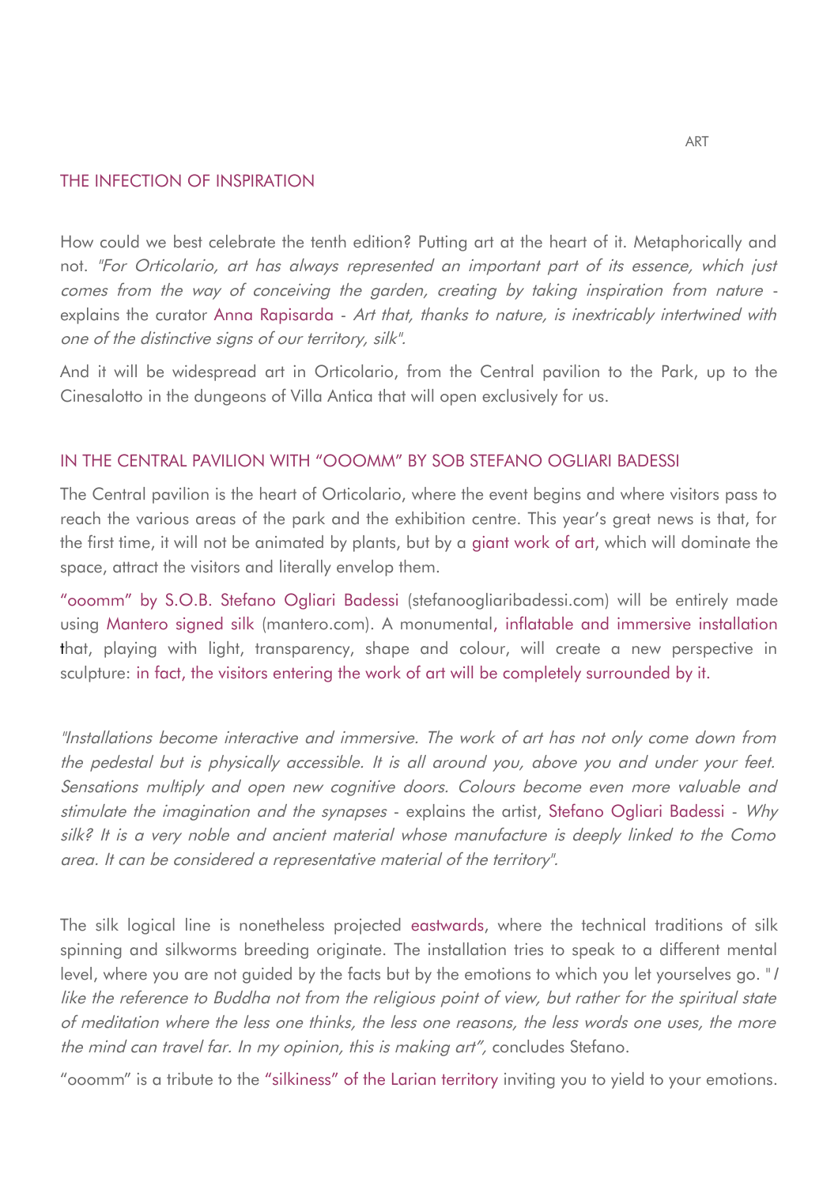## THE INFECTION OF INSPIRATION

How could we best celebrate the tenth edition? Putting art at the heart of it. Metaphorically and not. "For Orticolario, art has always represented an important part of its essence, which just comes from the way of conceiving the garden, creating by taking inspiration from nature explains the curator Anna Rapisarda - Art that, thanks to nature, is inextricably intertwined with one of the distinctive signs of our territory, silk".

And it will be widespread art in Orticolario, from the Central pavilion to the Park, up to the Cinesalotto in the dungeons of Villa Antica that will open exclusively for us.

### IN THE CENTRAL PAVILION WITH "OOOMM" BY SOB STEFANO OGLIARI BADESSI

The Central pavilion is the heart of Orticolario, where the event begins and where visitors pass to reach the various areas of the park and the exhibition centre. This year's great news is that, for the first time, it will not be animated by plants, but by a giant work of art, which will dominate the space, attract the visitors and literally envelop them.

"ooomm" by S.O.B. Stefano Ogliari Badessi (stefanoogliaribadessi.com) will be entirely made using Mantero signed silk (mantero.com). A monumental, inflatable and immersive installation that, playing with light, transparency, shape and colour, will create a new perspective in sculpture: in fact, the visitors entering the work of art will be completely surrounded by it.

"Installations become interactive and immersive. The work of art has not only come down from the pedestal but is physically accessible. It is all around you, above you and under your feet. Sensations multiply and open new cognitive doors. Colours become even more valuable and stimulate the imagination and the synapses - explains the artist, Stefano Ogliari Badessi - Why silk? It is a very noble and ancient material whose manufacture is deeply linked to the Como area. It can be considered a representative material of the territory".

The silk logical line is nonetheless projected eastwards, where the technical traditions of silk spinning and silkworms breeding originate. The installation tries to speak to a different mental level, where you are not guided by the facts but by the emotions to which you let yourselves go. "I like the reference to Buddha not from the religious point of view, but rather for the spiritual state of meditation where the less one thinks, the less one reasons, the less words one uses, the more the mind can travel far. In my opinion, this is making art", concludes Stefano.

"ooomm" is a tribute to the "silkiness" of the Larian territory inviting you to yield to your emotions.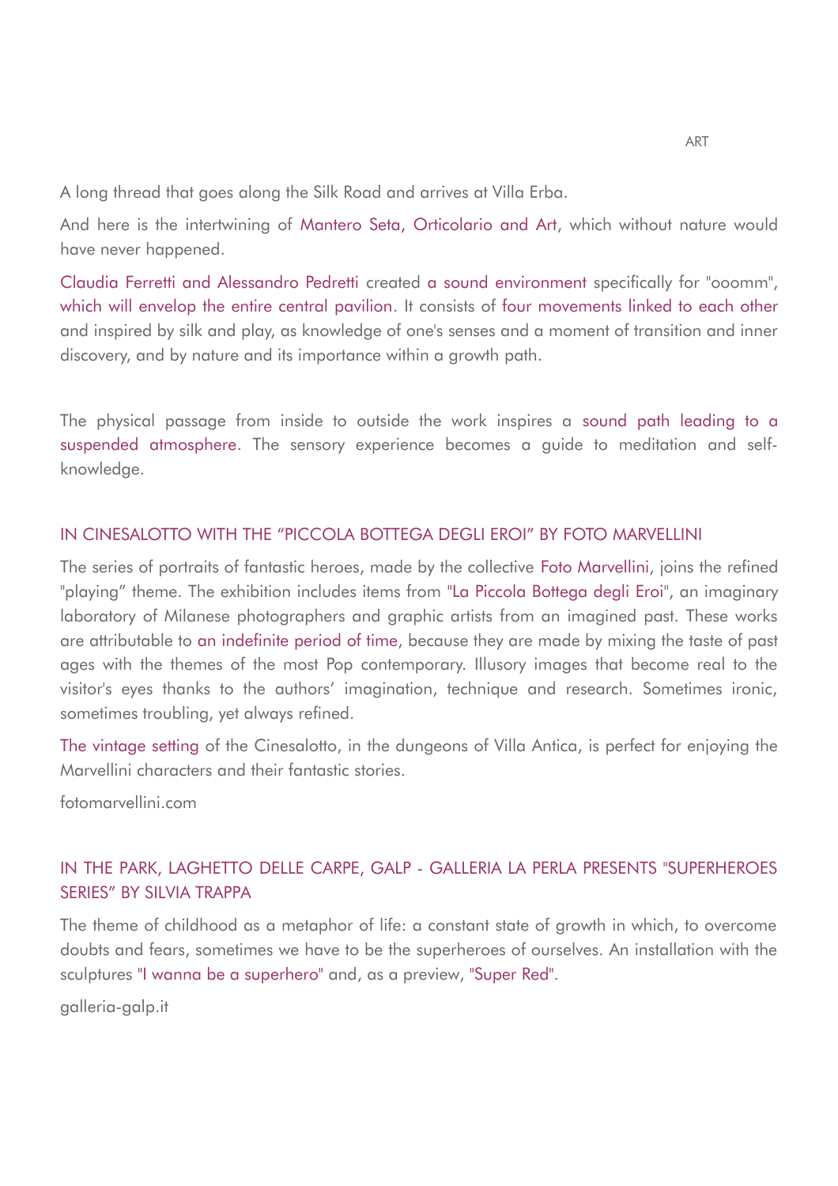A long thread that goes along the Silk Road and arrives at Villa Erba.

And here is the intertwining of Mantero Seta, Orticolario and Art, which without nature would have never happened.

Claudia Ferretti and Alessandro Pedretti created a sound environment specifically for "ooomm", which will envelop the entire central pavilion. It consists of four movements linked to each other and inspired by silk and play, as knowledge of one's senses and a moment of transition and inner discovery, and by nature and its importance within a growth path.

The physical passage from inside to outside the work inspires a sound path leading to a suspended atmosphere. The sensory experience becomes a guide to meditation and selfknowledge.

## IN CINESALOTTO WITH THE "PICCOLA BOTTEGA DEGLI EROI" BY FOTO MARVELLINI

The series of portraits of fantastic heroes, made by the collective Foto Marvellini, joins the refined "playing" theme. The exhibition includes items from "La Piccola Bottega degli Eroi", an imaginary laboratory of Milanese photographers and graphic artists from an imagined past. These works are attributable to an indefinite period of time, because they are made by mixing the taste of past ages with the themes of the most Pop contemporary. Illusory images that become real to the visitor's eyes thanks to the authors' imagination, technique and research. Sometimes ironic, sometimes troubling, yet always refined.

The vintage setting of the Cinesalotto, in the dungeons of Villa Antica, is perfect for enjoying the Marvellini characters and their fantastic stories.

fotomarvellini.com

# IN THE PARK, LAGHETTO DELLE CARPE, GALP - GALLERIA LA PERLA PRESENTS "SUPERHEROES SERIES" BY SILVIA TRAPPA

The theme of childhood as a metaphor of life: a constant state of growth in which, to overcome doubts and fears, sometimes we have to be the superheroes of ourselves. An installation with the sculptures "I wanna be a superhero" and, as a preview, "Super Red".

galleria-galp.it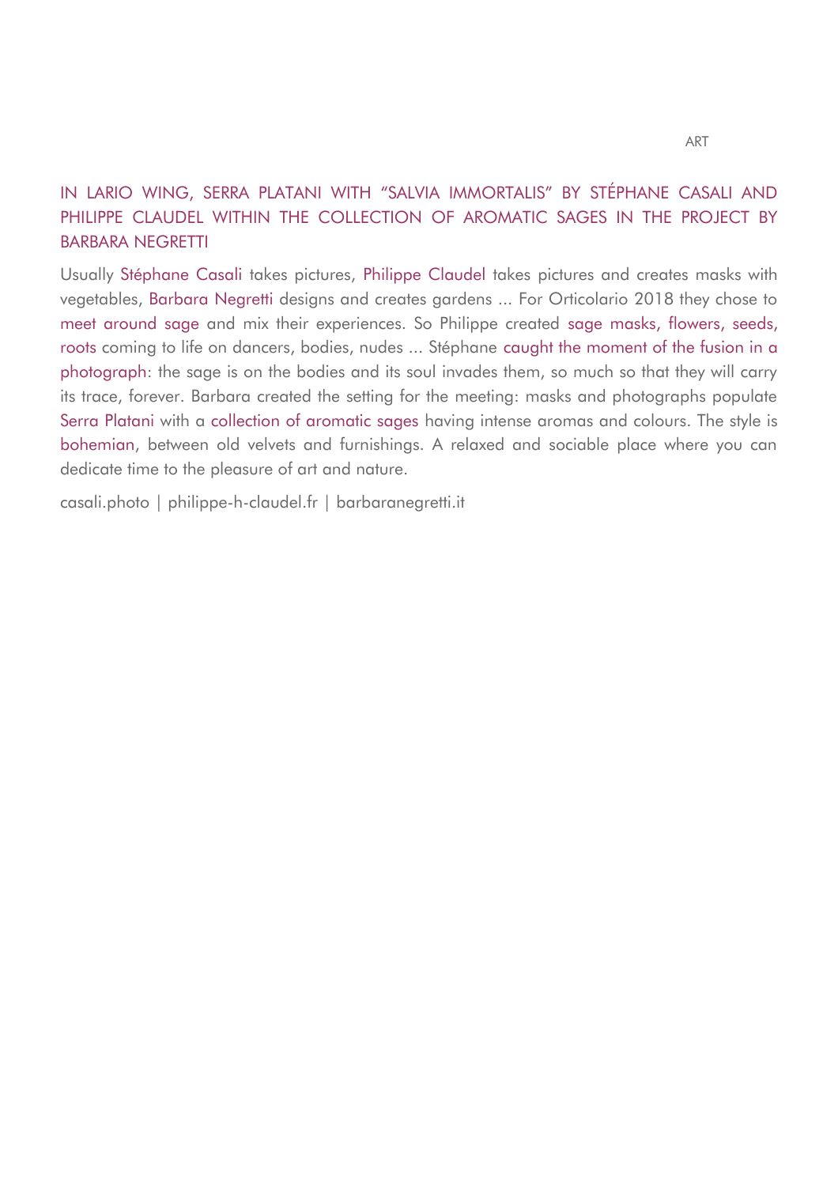# IN LARIO WING, SERRA PLATANI WITH "SALVIA IMMORTALIS" BY STÉPHANE CASALI AND PHILIPPE CLAUDEL WITHIN THE COLLECTION OF AROMATIC SAGES IN THE PROJECT BY BARBARA NEGRETTI

Usually Stéphane Casali takes pictures, Philippe Claudel takes pictures and creates masks with vegetables, Barbara Negretti designs and creates gardens ... For Orticolario 2018 they chose to meet around sage and mix their experiences. So Philippe created sage masks, flowers, seeds, roots coming to life on dancers, bodies, nudes ... Stéphane caught the moment of the fusion in a photograph: the sage is on the bodies and its soul invades them, so much so that they will carry its trace, forever. Barbara created the setting for the meeting: masks and photographs populate Serra Platani with a collection of aromatic sages having intense aromas and colours. The style is bohemian, between old velvets and furnishings. A relaxed and sociable place where you can dedicate time to the pleasure of art and nature.

casali.photo | philippe-h-claudel.fr | barbaranegretti.it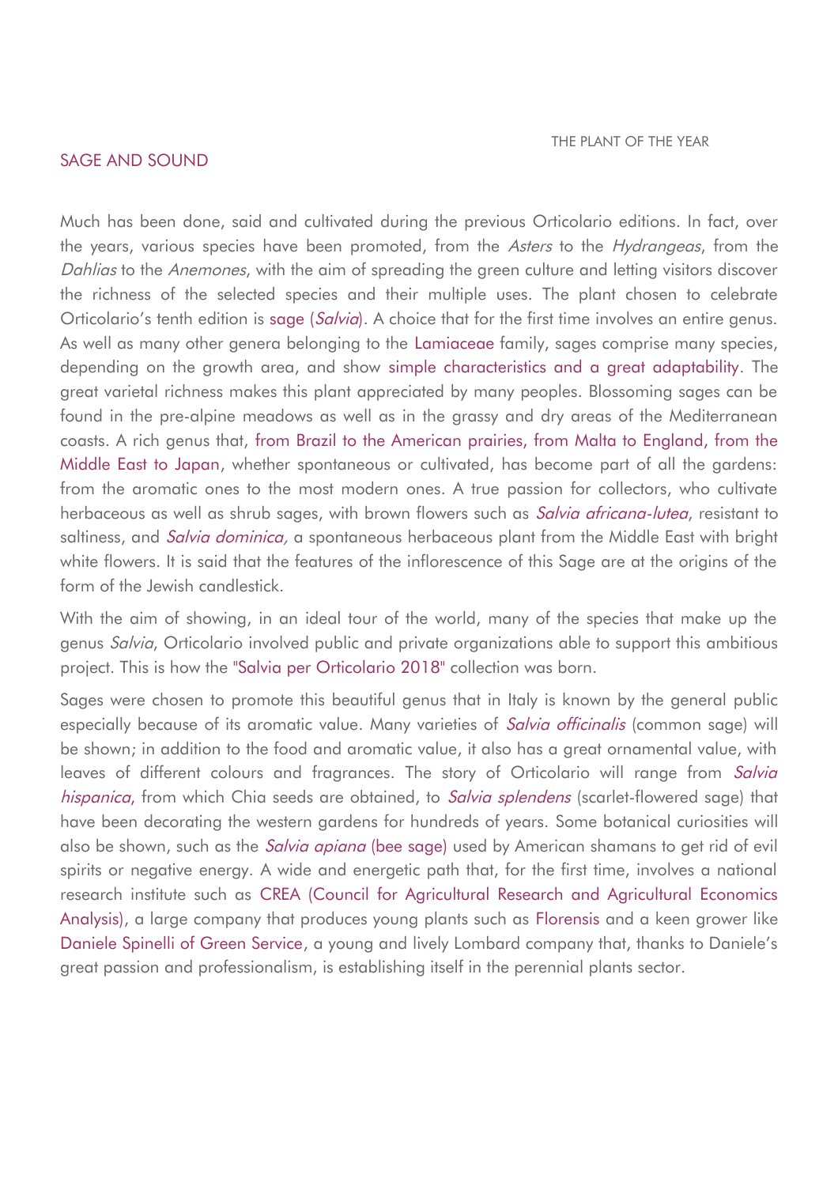#### SAGE AND SOUND

Much has been done, said and cultivated during the previous Orticolario editions. In fact, over the years, various species have been promoted, from the Asters to the Hydrangeas, from the Dahlias to the Anemones, with the aim of spreading the green culture and letting visitors discover the richness of the selected species and their multiple uses. The plant chosen to celebrate Orticolario's tenth edition is sage (*Salvia*). A choice that for the first time involves an entire genus. As well as many other genera belonging to the Lamiaceae family, sages comprise many species, depending on the growth area, and show simple characteristics and a great adaptability. The great varietal richness makes this plant appreciated by many peoples. Blossoming sages can be found in the pre-alpine meadows as well as in the grassy and dry areas of the Mediterranean coasts. A rich genus that, from Brazil to the American prairies, from Malta to England, from the Middle East to Japan, whether spontaneous or cultivated, has become part of all the gardens: from the aromatic ones to the most modern ones. A true passion for collectors, who cultivate herbaceous as well as shrub sages, with brown flowers such as *Salvia africana-lutea*, resistant to saltiness, and *Salvia dominica*, a spontaneous herbaceous plant from the Middle East with bright white flowers. It is said that the features of the inflorescence of this Sage are at the origins of the form of the Jewish candlestick.

With the aim of showing, in an ideal tour of the world, many of the species that make up the genus Salvia, Orticolario involved public and private organizations able to support this ambitious project. This is how the "Salvia per Orticolario 2018" collection was born.

Sages were chosen to promote this beautiful genus that in Italy is known by the general public especially because of its aromatic value. Many varieties of *Salvia officinalis* (common sage) will be shown; in addition to the food and aromatic value, it also has a great ornamental value, with leaves of different colours and fragrances. The story of Orticolario will range from Salvia hispanica, from which Chia seeds are obtained, to Salvia splendens (scarlet-flowered sage) that have been decorating the western gardens for hundreds of years. Some botanical curiosities will also be shown, such as the *Salvia apiana* (bee sage) used by American shamans to get rid of evil spirits or negative energy. A wide and energetic path that, for the first time, involves a national research institute such as CREA (Council for Agricultural Research and Agricultural Economics Analysis), a large company that produces young plants such as Florensis and a keen grower like Daniele Spinelli of Green Service, a young and lively Lombard company that, thanks to Daniele's great passion and professionalism, is establishing itself in the perennial plants sector.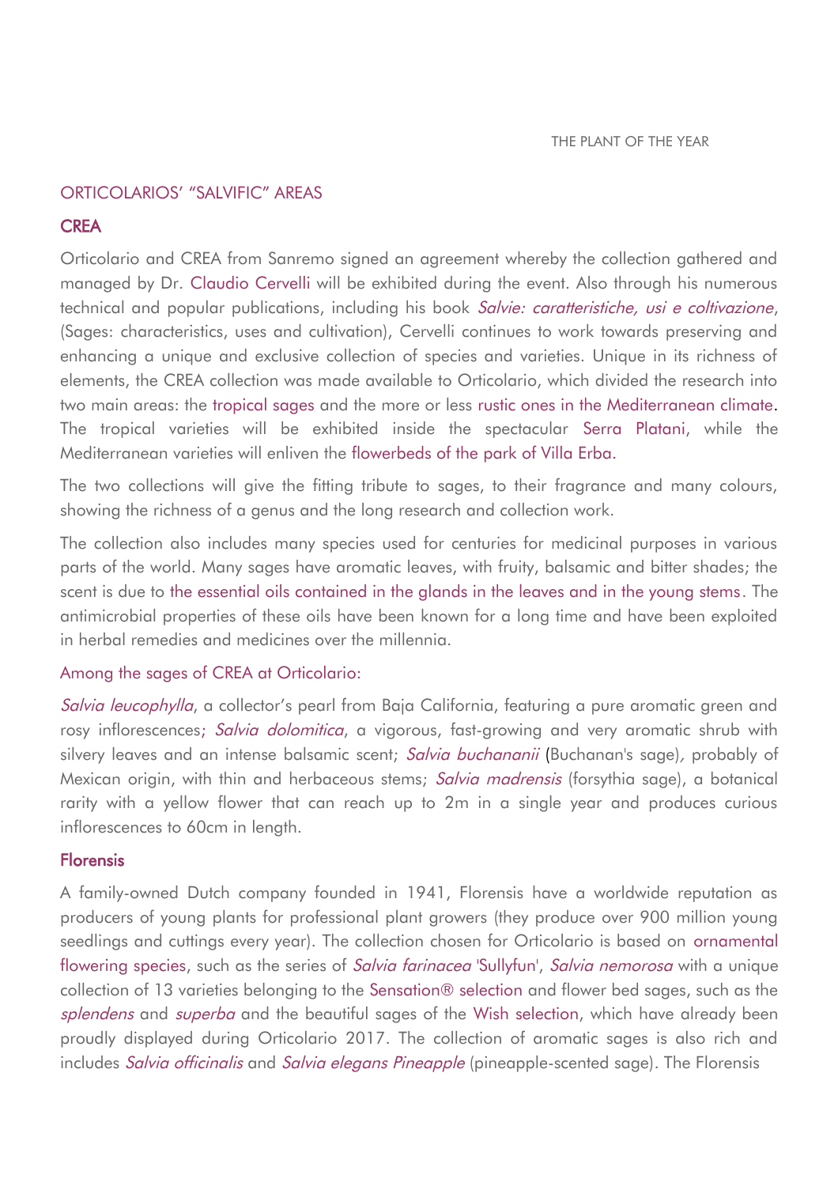## ORTICOLARIOS' "SALVIFIC" AREAS

## **CREA**

Orticolario and CREA from Sanremo signed an agreement whereby the collection gathered and managed by Dr. Claudio Cervelli will be exhibited during the event. Also through his numerous technical and popular publications, including his book Salvie: caratteristiche, usi e coltivazione, (Sages: characteristics, uses and cultivation), Cervelli continues to work towards preserving and enhancing a unique and exclusive collection of species and varieties. Unique in its richness of elements, the CREA collection was made available to Orticolario, which divided the research into two main areas: the tropical sages and the more or less rustic ones in the Mediterranean climate. The tropical varieties will be exhibited inside the spectacular Serra Platani, while the Mediterranean varieties will enliven the flowerbeds of the park of Villa Erba.

The two collections will give the fitting tribute to sages, to their fragrance and many colours, showing the richness of a genus and the long research and collection work.

The collection also includes many species used for centuries for medicinal purposes in various parts of the world. Many sages have aromatic leaves, with fruity, balsamic and bitter shades; the scent is due to the essential oils contained in the glands in the leaves and in the young stems. The antimicrobial properties of these oils have been known for a long time and have been exploited in herbal remedies and medicines over the millennia.

## Among the sages of CREA at Orticolario:

Salvia leucophylla, a collector's pearl from Baja California, featuring a pure aromatic green and rosy inflorescences; Salvia dolomitica, a vigorous, fast-growing and very aromatic shrub with silvery leaves and an intense balsamic scent; Salvia buchananii (Buchanan's sage), probably of Mexican origin, with thin and herbaceous stems; Salvia madrensis (forsythia sage), a botanical rarity with a yellow flower that can reach up to 2m in a single year and produces curious inflorescences to 60cm in length.

## Florensis

A family-owned Dutch company founded in 1941, Florensis have a worldwide reputation as producers of young plants for professional plant growers (they produce over 900 million young seedlings and cuttings every year). The collection chosen for Orticolario is based on ornamental flowering species, such as the series of Salvia farinacea 'Sullyfun', Salvia nemorosa with a unique collection of 13 varieties belonging to the Sensation® selection and flower bed sages, such as the splendens and superba and the beautiful sages of the Wish selection, which have already been proudly displayed during Orticolario 2017. The collection of aromatic sages is also rich and includes Salvia officinalis and Salvia elegans Pineapple (pineapple-scented sage). The Florensis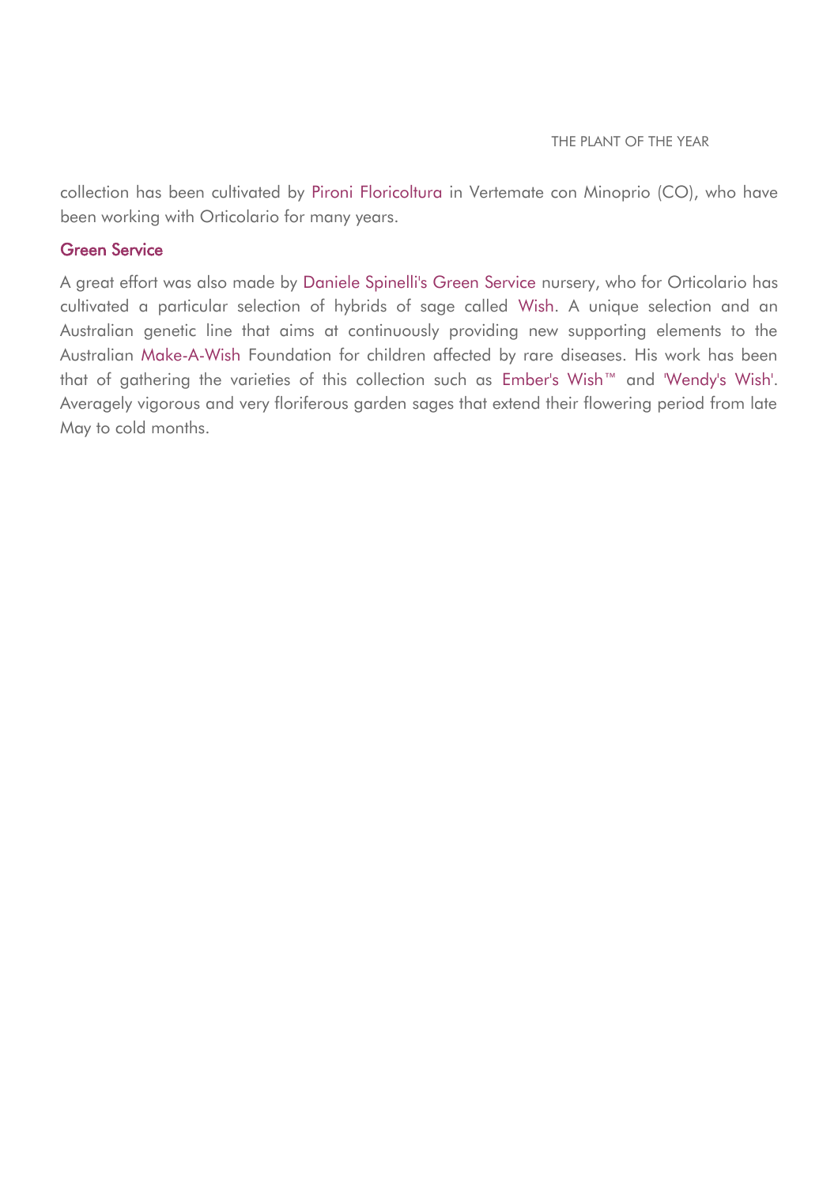collection has been cultivated by Pironi Floricoltura in Vertemate con Minoprio (CO), who have been working with Orticolario for many years.

## Green Service

A great effort was also made by Daniele Spinelli's Green Service nursery, who for Orticolario has cultivated a particular selection of hybrids of sage called Wish. A unique selection and an Australian genetic line that aims at continuously providing new supporting elements to the Australian Make-A-Wish Foundation for children affected by rare diseases. His work has been that of gathering the varieties of this collection such as Ember's Wish™ and 'Wendy's Wish'. Averagely vigorous and very floriferous garden sages that extend their flowering period from late May to cold months.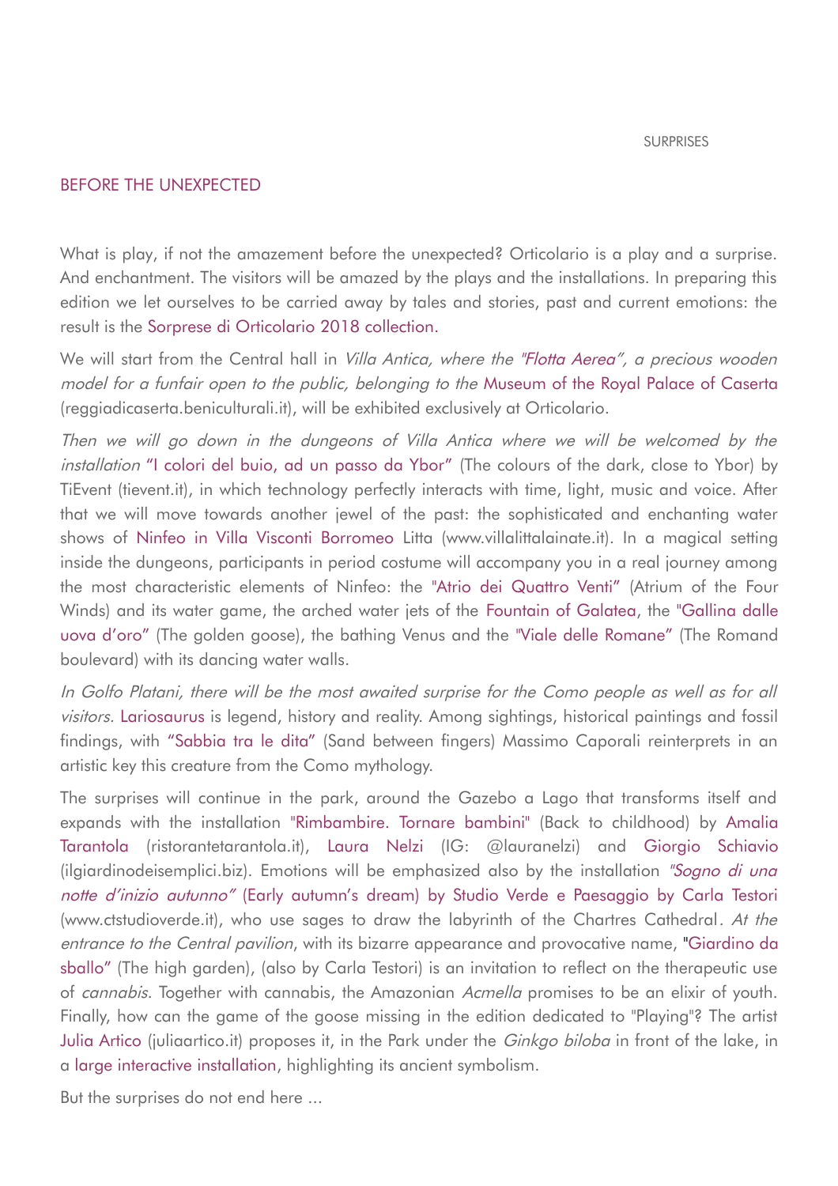### BEFORE THE UNEXPECTED

What is play, if not the amazement before the unexpected? Orticolario is a play and a surprise. And enchantment. The visitors will be amazed by the plays and the installations. In preparing this edition we let ourselves to be carried away by tales and stories, past and current emotions: the result is the Sorprese di Orticolario 2018 collection.

We will start from the Central hall in *Villa Antica, where the "Flotta Aerea", a precious wooden* model for a funfair open to the public, belonging to the Museum of the Royal Palace of Caserta (reggiadicaserta.beniculturali.it), will be exhibited exclusively at Orticolario.

Then we will go down in the dungeons of Villa Antica where we will be welcomed by the installation "I colori del buio, ad un passo da Ybor" (The colours of the dark, close to Ybor) by TiEvent (tievent.it), in which technology perfectly interacts with time, light, music and voice. After that we will move towards another jewel of the past: the sophisticated and enchanting water shows of Ninfeo in Villa Visconti Borromeo Litta (www.villalittalainate.it). In a magical setting inside the dungeons, participants in period costume will accompany you in a real journey among the most characteristic elements of Ninfeo: the "Atrio dei Quattro Venti" (Atrium of the Four Winds) and its water game, the arched water jets of the Fountain of Galatea, the "Gallina dalle uova d'oro" (The golden goose), the bathing Venus and the "Viale delle Romane" (The Romand boulevard) with its dancing water walls.

In Golfo Platani, there will be the most awaited surprise for the Como people as well as for all visitors. Lariosaurus is legend, history and reality. Among sightings, historical paintings and fossil findings, with "Sabbia tra le dita" (Sand between fingers) Massimo Caporali reinterprets in an artistic key this creature from the Como mythology.

The surprises will continue in the park, around the Gazebo a Lago that transforms itself and expands with the installation "Rimbambire. Tornare bambini" (Back to childhood) by Amalia Tarantola (ristorantetarantola.it), Laura Nelzi (IG: @lauranelzi) and Giorgio Schiavio (ilgiardinodeisemplici.biz). Emotions will be emphasized also by the installation "Sogno di una notte d'inizio autunno" (Early autumn's dream) by Studio Verde e Paesaggio by Carla Testori (www.ctstudioverde.it), who use sages to draw the labyrinth of the Chartres Cathedral. At the entrance to the Central pavilion, with its bizarre appearance and provocative name, "Giardino da sballo" (The high garden), (also by Carla Testori) is an invitation to reflect on the therapeutic use of cannabis. Together with cannabis, the Amazonian Acmella promises to be an elixir of youth. Finally, how can the game of the goose missing in the edition dedicated to "Playing"? The artist Julia Artico (juliaartico.it) proposes it, in the Park under the *Ginkgo biloba* in front of the lake, in a large interactive installation, highlighting its ancient symbolism.

But the surprises do not end here ...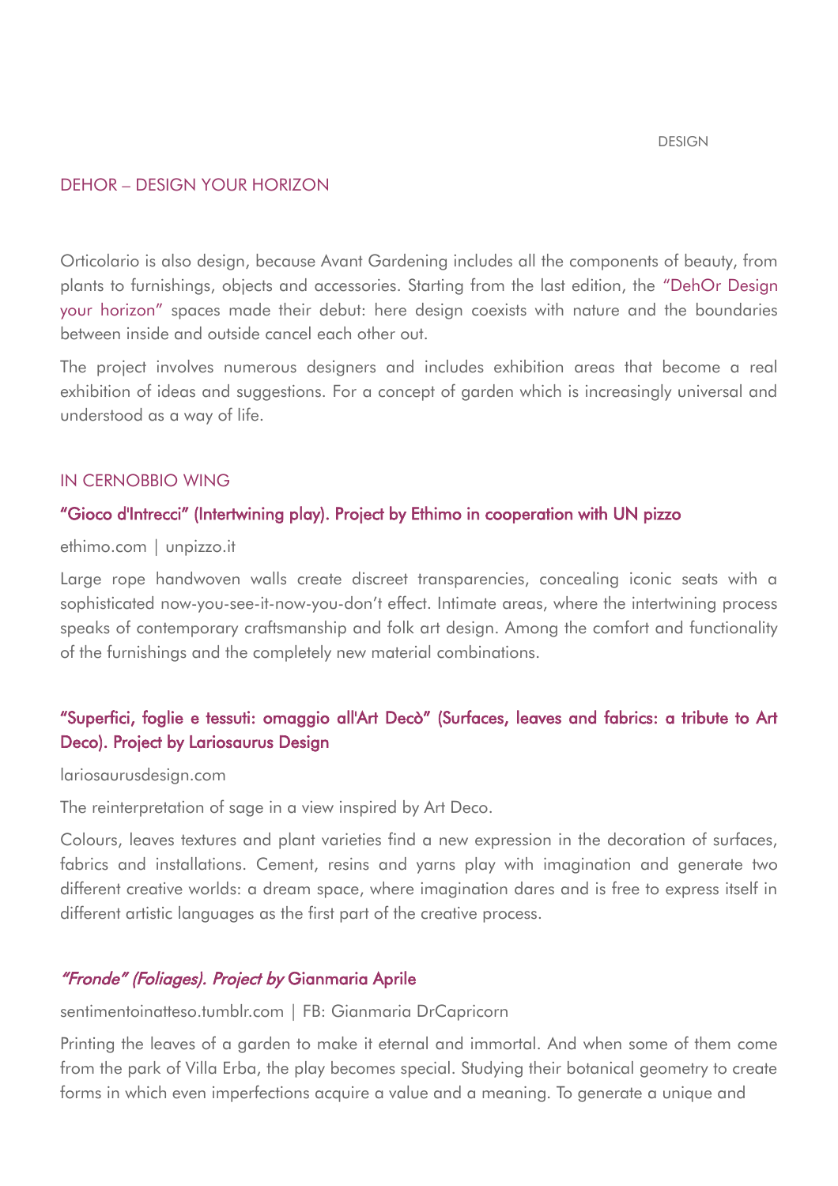#### DESIGN

### DEHOR – DESIGN YOUR HORIZON

Orticolario is also design, because Avant Gardening includes all the components of beauty, from plants to furnishings, objects and accessories. Starting from the last edition, the "DehOr Design your horizon" spaces made their debut: here design coexists with nature and the boundaries between inside and outside cancel each other out.

The project involves numerous designers and includes exhibition areas that become a real exhibition of ideas and suggestions. For a concept of garden which is increasingly universal and understood as a way of life.

#### IN CERNOBBIO WING

#### "Gioco d'Intrecci" (Intertwining play). Project by Ethimo in cooperation with UN pizzo

ethimo.com | unpizzo.it

Large rope handwoven walls create discreet transparencies, concealing iconic seats with a sophisticated now-you-see-it-now-you-don't effect. Intimate areas, where the intertwining process speaks of contemporary craftsmanship and folk art design. Among the comfort and functionality of the furnishings and the completely new material combinations.

# "Superfici, foglie e tessuti: omaggio all'Art Decò" (Surfaces, leaves and fabrics: a tribute to Art Deco). Project by Lariosaurus Design

#### lariosaurusdesign.com

The reinterpretation of sage in a view inspired by Art Deco.

Colours, leaves textures and plant varieties find a new expression in the decoration of surfaces, fabrics and installations. Cement, resins and yarns play with imagination and generate two different creative worlds: a dream space, where imagination dares and is free to express itself in different artistic languages as the first part of the creative process.

## "Fronde" (Foliages). Project by Gianmaria Aprile

#### sentimentoinatteso.tumblr.com | FB: Gianmaria DrCapricorn

Printing the leaves of a garden to make it eternal and immortal. And when some of them come from the park of Villa Erba, the play becomes special. Studying their botanical geometry to create forms in which even imperfections acquire a value and a meaning. To generate a unique and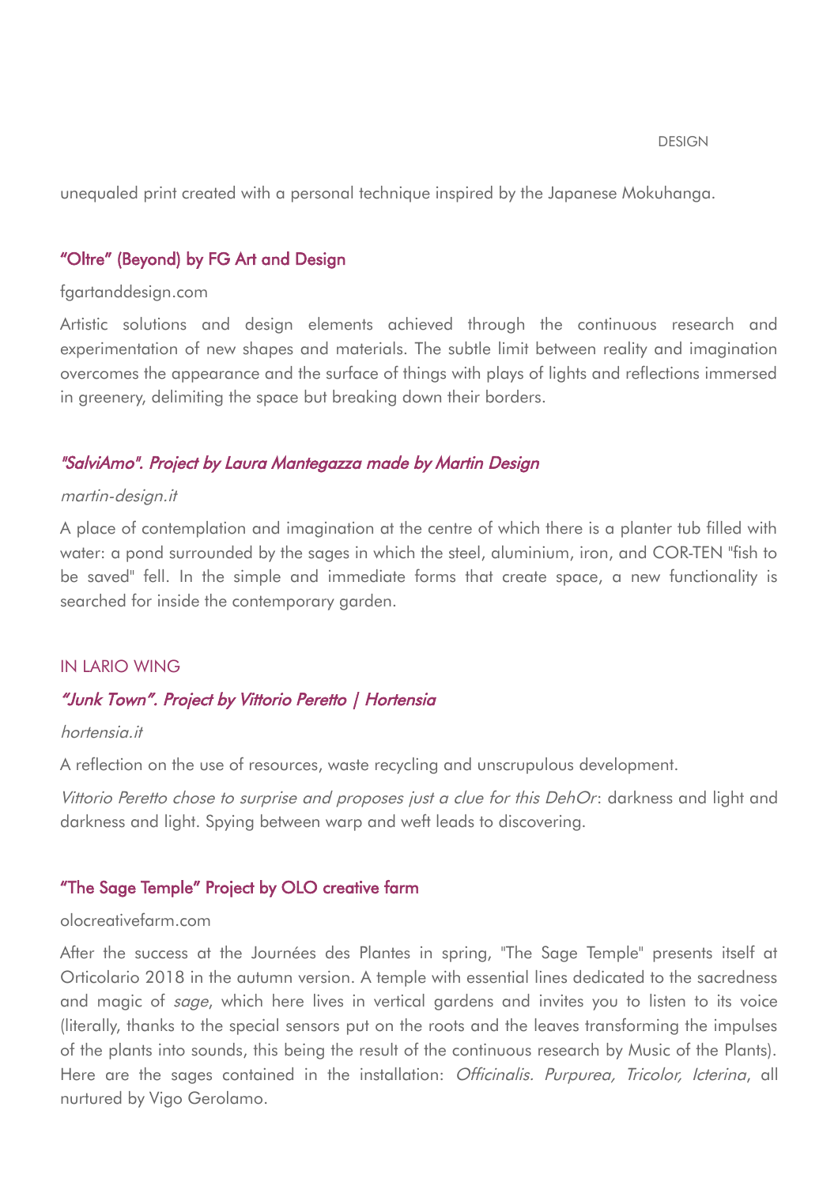unequaled print created with a personal technique inspired by the Japanese Mokuhanga.

## "Oltre" (Beyond) by FG Art and Design

#### fgartanddesign.com

Artistic solutions and design elements achieved through the continuous research and experimentation of new shapes and materials. The subtle limit between reality and imagination overcomes the appearance and the surface of things with plays of lights and reflections immersed in greenery, delimiting the space but breaking down their borders.

#### "SalviAmo". Project by Laura Mantegazza made by Martin Design

#### martin-design.it

A place of contemplation and imagination at the centre of which there is a planter tub filled with water: a pond surrounded by the sages in which the steel, aluminium, iron, and COR-TEN "fish to be saved" fell. In the simple and immediate forms that create space, a new functionality is searched for inside the contemporary garden.

#### IN LARIO WING

### "Junk Town". Project by Vittorio Peretto | Hortensia

### hortensia.it

A reflection on the use of resources, waste recycling and unscrupulous development.

Vittorio Peretto chose to surprise and proposes just a clue for this DehOr: darkness and light and darkness and light. Spying between warp and weft leads to discovering.

## "The Sage Temple" Project by OLO creative farm

#### olocreativefarm.com

After the success at the Journées des Plantes in spring, "The Sage Temple" presents itself at Orticolario 2018 in the autumn version. A temple with essential lines dedicated to the sacredness and magic of *sage*, which here lives in vertical gardens and invites you to listen to its voice (literally, thanks to the special sensors put on the roots and the leaves transforming the impulses of the plants into sounds, this being the result of the continuous research by Music of the Plants). Here are the sages contained in the installation: *Officinalis, Purpurea, Tricolor, Icterina*, all nurtured by Vigo Gerolamo.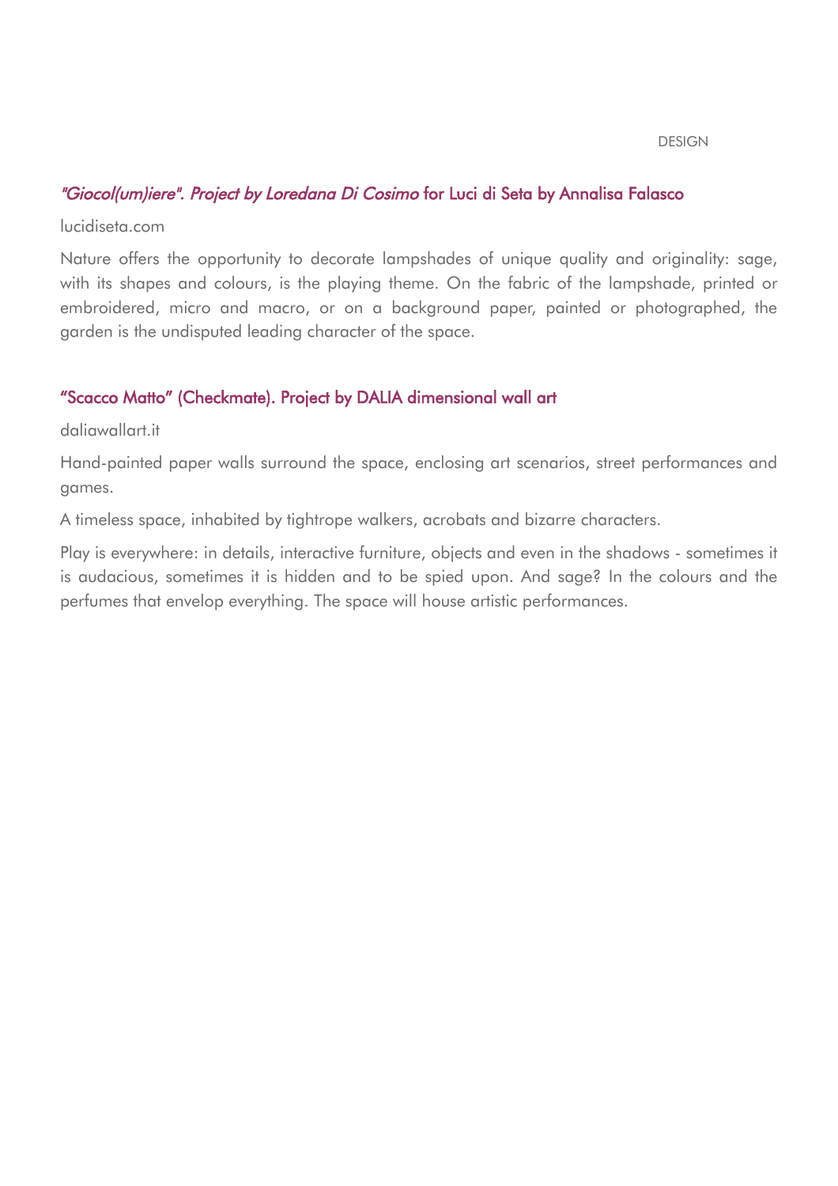#### DESIGN

## "Giocol(um)iere". Project by Loredana Di Cosimo for Luci di Seta by Annalisa Falasco

lucidiseta.com

Nature offers the opportunity to decorate lampshades of unique quality and originality: sage, with its shapes and colours, is the playing theme. On the fabric of the lampshade, printed or embroidered, micro and macro, or on a background paper, painted or photographed, the garden is the undisputed leading character of the space.

## "Scacco Matto" (Checkmate). Project by DALIA dimensional wall art

daliawallart.it

Hand-painted paper walls surround the space, enclosing art scenarios, street performances and games.

A timeless space, inhabited by tightrope walkers, acrobats and bizarre characters.

Play is everywhere: in details, interactive furniture, objects and even in the shadows - sometimes it is audacious, sometimes it is hidden and to be spied upon. And sage? In the colours and the perfumes that envelop everything. The space will house artistic performances.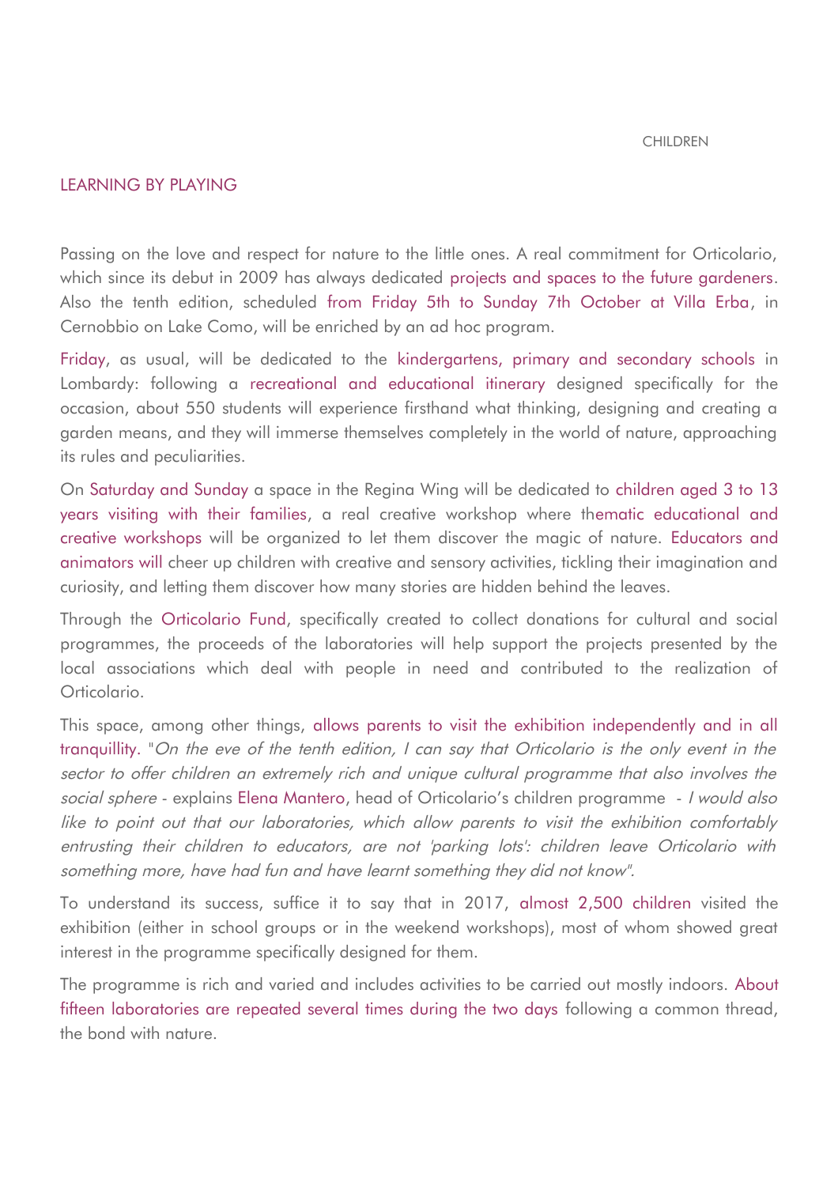#### CHILDREN

## LEARNING BY PLAYING

Passing on the love and respect for nature to the little ones. A real commitment for Orticolario, which since its debut in 2009 has always dedicated projects and spaces to the future gardeners. Also the tenth edition, scheduled from Friday 5th to Sunday 7th October at Villa Erba, in Cernobbio on Lake Como, will be enriched by an ad hoc program.

Friday, as usual, will be dedicated to the kindergartens, primary and secondary schools in Lombardy: following a recreational and educational itinerary designed specifically for the occasion, about 550 students will experience firsthand what thinking, designing and creating a garden means, and they will immerse themselves completely in the world of nature, approaching its rules and peculiarities.

On Saturday and Sunday a space in the Regina Wing will be dedicated to children aged 3 to 13 years visiting with their families, a real creative workshop where thematic educational and creative workshops will be organized to let them discover the magic of nature. Educators and animators will cheer up children with creative and sensory activities, tickling their imagination and curiosity, and letting them discover how many stories are hidden behind the leaves.

Through the Orticolario Fund, specifically created to collect donations for cultural and social programmes, the proceeds of the laboratories will help support the projects presented by the local associations which deal with people in need and contributed to the realization of Orticolario.

This space, among other things, allows parents to visit the exhibition independently and in all tranquillity. "On the eve of the tenth edition, I can say that Orticolario is the only event in the sector to offer children an extremely rich and unique cultural programme that also involves the social sphere - explains Elena Mantero, head of Orticolario's children programme - I would also like to point out that our laboratories, which allow parents to visit the exhibition comfortably entrusting their children to educators, are not 'parking lots': children leave Orticolario with something more, have had fun and have learnt something they did not know".

To understand its success, suffice it to say that in 2017, almost 2,500 children visited the exhibition (either in school groups or in the weekend workshops), most of whom showed great interest in the programme specifically designed for them.

The programme is rich and varied and includes activities to be carried out mostly indoors. About fifteen laboratories are repeated several times during the two days following a common thread, the bond with nature.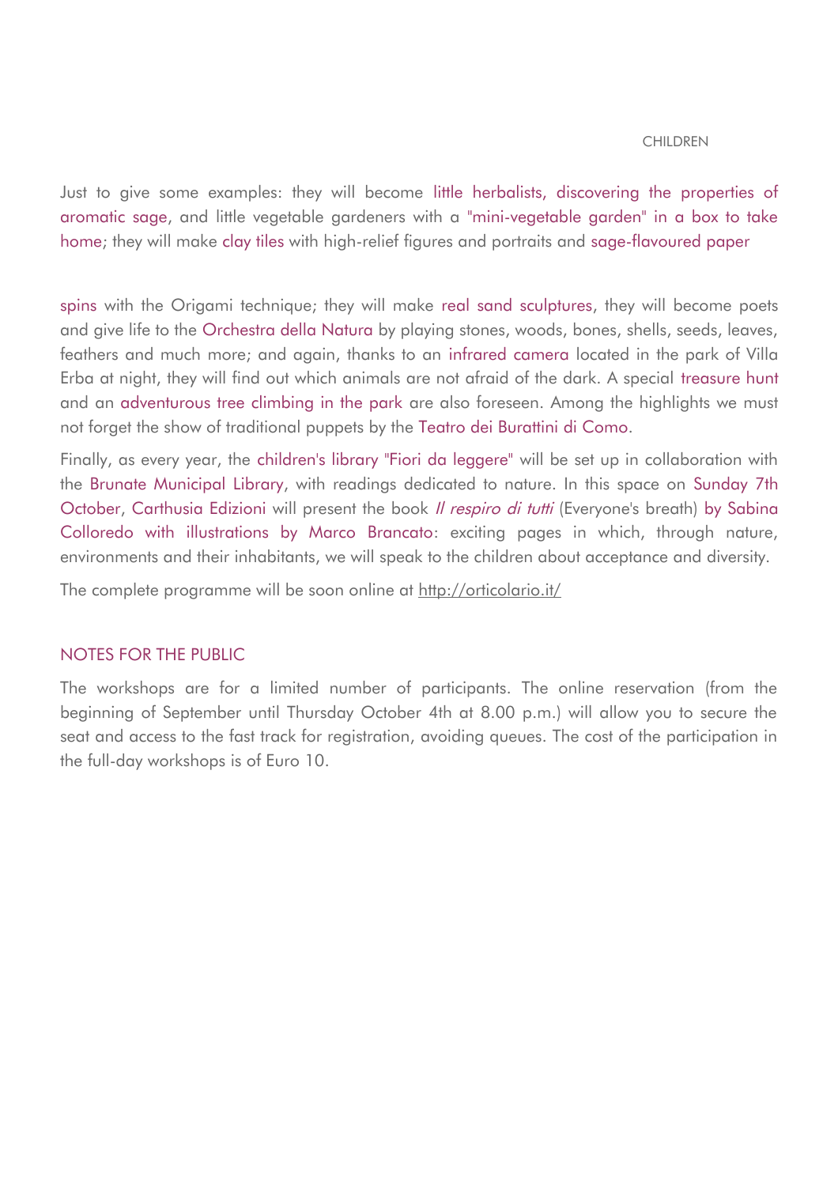#### CHILDREN

Just to give some examples: they will become little herbalists, discovering the properties of aromatic sage, and little vegetable gardeners with a "mini-vegetable garden" in a box to take home; they will make clay tiles with high-relief figures and portraits and sage-flavoured paper

spins with the Origami technique; they will make real sand sculptures, they will become poets and give life to the Orchestra della Natura by playing stones, woods, bones, shells, seeds, leaves, feathers and much more; and again, thanks to an infrared camera located in the park of Villa Erba at night, they will find out which animals are not afraid of the dark. A special treasure hunt and an adventurous tree climbing in the park are also foreseen. Among the highlights we must not forget the show of traditional puppets by the Teatro dei Burattini di Como.

Finally, as every year, the children's library "Fiori da leggere" will be set up in collaboration with the Brunate Municipal Library, with readings dedicated to nature. In this space on Sunday 7th October, Carthusia Edizioni will present the book *Il respiro di tutti* (Everyone's breath) by Sabina Colloredo with illustrations by Marco Brancato: exciting pages in which, through nature, environments and their inhabitants, we will speak to the children about acceptance and diversity.

The complete programme will be soon online at http://orticolario.it/

### NOTES FOR THE PUBLIC

The workshops are for a limited number of participants. The online reservation (from the beginning of September until Thursday October 4th at 8.00 p.m.) will allow you to secure the seat and access to the fast track for registration, avoiding queues. The cost of the participation in the full-day workshops is of Euro 10.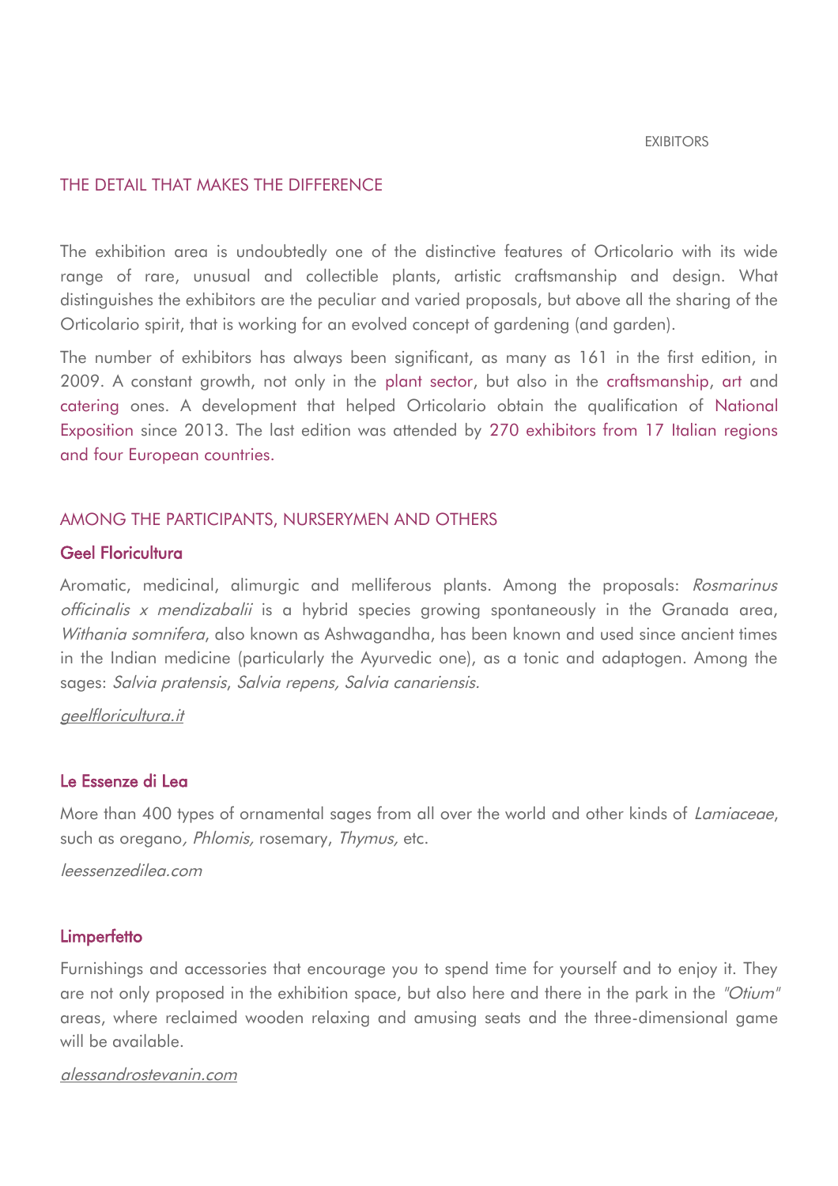#### EXIBITORS

## THE DETAIL THAT MAKES THE DIFFERENCE

The exhibition area is undoubtedly one of the distinctive features of Orticolario with its wide range of rare, unusual and collectible plants, artistic craftsmanship and design. What distinguishes the exhibitors are the peculiar and varied proposals, but above all the sharing of the Orticolario spirit, that is working for an evolved concept of gardening (and garden).

The number of exhibitors has always been significant, as many as 161 in the first edition, in 2009. A constant growth, not only in the plant sector, but also in the craftsmanship, art and catering ones. A development that helped Orticolario obtain the qualification of National Exposition since 2013. The last edition was attended by 270 exhibitors from 17 Italian regions and four European countries.

## AMONG THE PARTICIPANTS, NURSERYMEN AND OTHERS

## Geel Floricultura

Aromatic, medicinal, alimurgic and melliferous plants. Among the proposals: Rosmarinus officinalis <sup>x</sup> mendizabalii is a hybrid species growing spontaneously in the Granada area, Withania somnifera, also known as Ashwagandha, has been known and used since ancient times in the Indian medicine (particularly the Ayurvedic one), as a tonic and adaptogen. Among the sages: Salvia pratensis, Salvia repens, Salvia canariensis.

<span id="page-20-0"></span>[geelfloricultura.it](#page-20-0)

#### Le Essenze di Lea

More than 400 types of ornamental sages from all over the world and other kinds of Lamiaceae, such as oregano, Phlomis, rosemary, Thymus, etc.

leessenzedilea.com

#### **Limperfetto**

Furnishings and accessories that encourage you to spend time for yourself and to enjoy it. They are not only proposed in the exhibition space, but also here and there in the park in the "Otium" areas, where reclaimed wooden relaxing and amusing seats and the three-dimensional game will be available.

## alessandrostevanin.com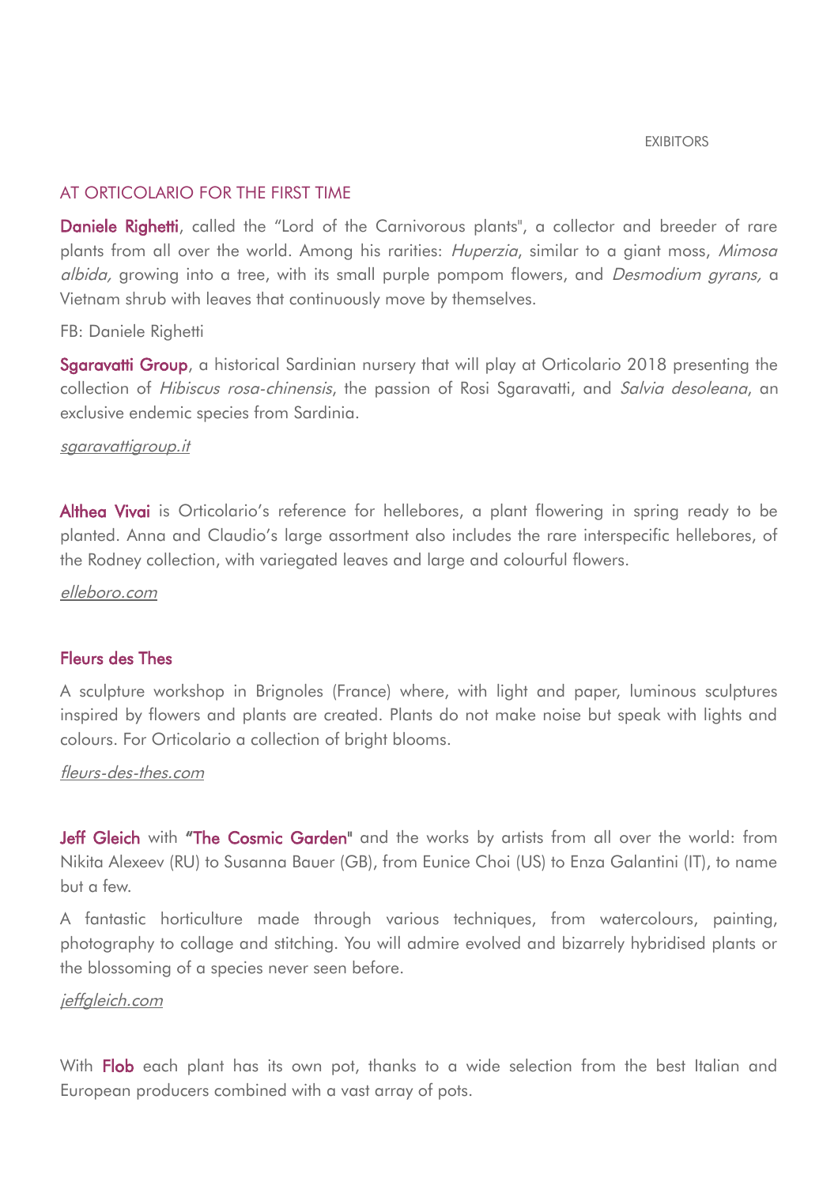#### EXIBITORS

## AT ORTICOLARIO FOR THE FIRST TIME

Daniele Righetti, called the "Lord of the Carnivorous plants", a collector and breeder of rare plants from all over the world. Among his rarities: *Huperzia*, similar to a giant moss, Mimosa albida, growing into a tree, with its small purple pompom flowers, and Desmodium gyrans, a Vietnam shrub with leaves that continuously move by themselves.

### FB: Daniele Righetti

Sgaravatti Group, a historical Sardinian nursery that will play at Orticolario 2018 presenting the collection of Hibiscus rosa-chinensis, the passion of Rosi Sgaravatti, and Salvia desoleana, an exclusive endemic species from Sardinia.

#### [sgaravattigroup.it](http://www.sgaravattigroup.it/)

Althea Vivai is Orticolario's reference for hellebores, a plant flowering in spring ready to be planted. Anna and Claudio's large assortment also includes the rare interspecific hellebores, of the Rodney collection, with variegated leaves and large and colourful flowers.

[elleboro.com](http://www.elleboro.com/)

## Fleurs des Thes

A sculpture workshop in Brignoles (France) where, with light and paper, luminous sculptures inspired by flowers and plants are created. Plants do not make noise but speak with lights and colours. For Orticolario a collection of bright blooms.

#### [fleurs-des-thes.com](http://www.fleurs-des-thes.com/)

Jeff Gleich with "The Cosmic Garden" and the works by artists from all over the world: from Nikita Alexeev (RU) to Susanna Bauer (GB), from Eunice Choi (US) to Enza Galantini (IT), to name but a few.

A fantastic horticulture made through various techniques, from watercolours, painting, photography to collage and stitching. You will admire evolved and bizarrely hybridised plants or the blossoming of a species never seen before.

#### jeffgleich.com

With Flob each plant has its own pot, thanks to a wide selection from the best Italian and European producers combined with a vast array of pots.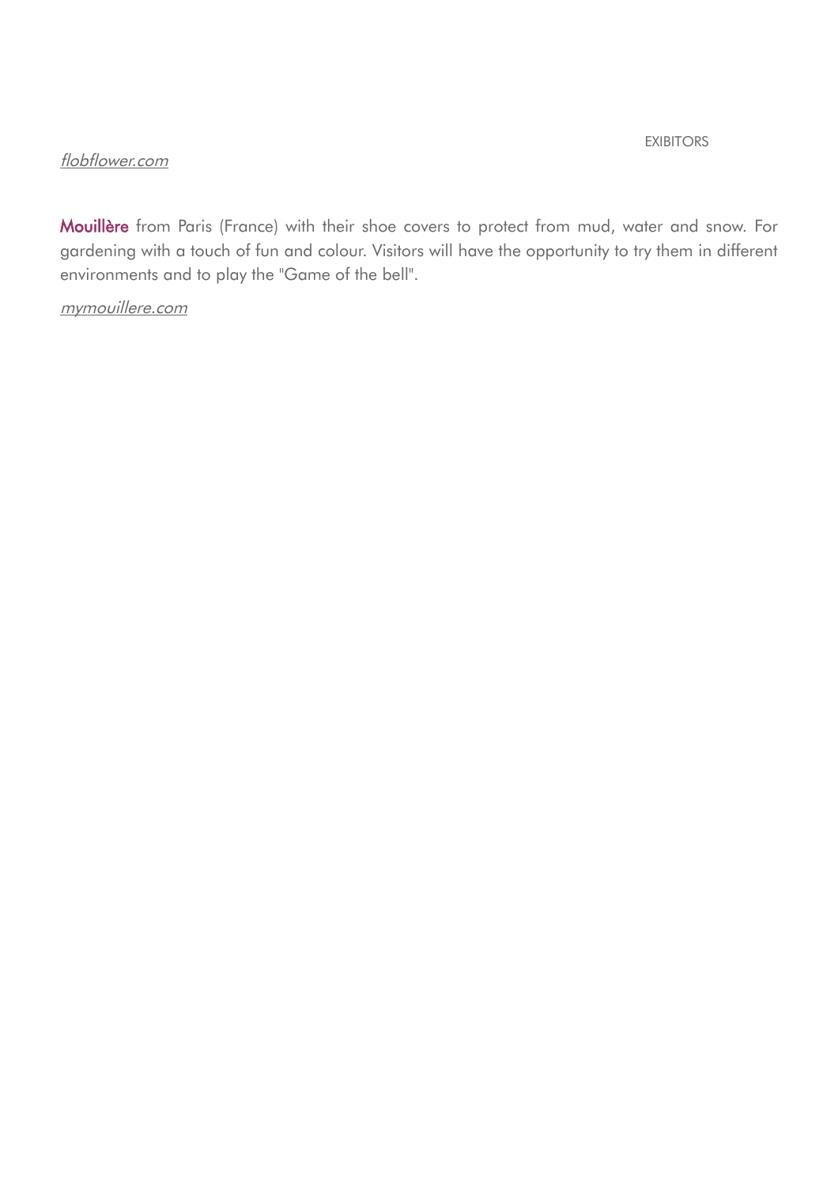#### EXIBITORS

## [flobflower.com](http://www.flobflower.com/)

Mouillère from Paris (France) with their shoe covers to protect from mud, water and snow. For gardening with a touch of fun and colour. Visitors will have the opportunity to try them in different environments and to play the "Game of the bell".

# mymouillere.com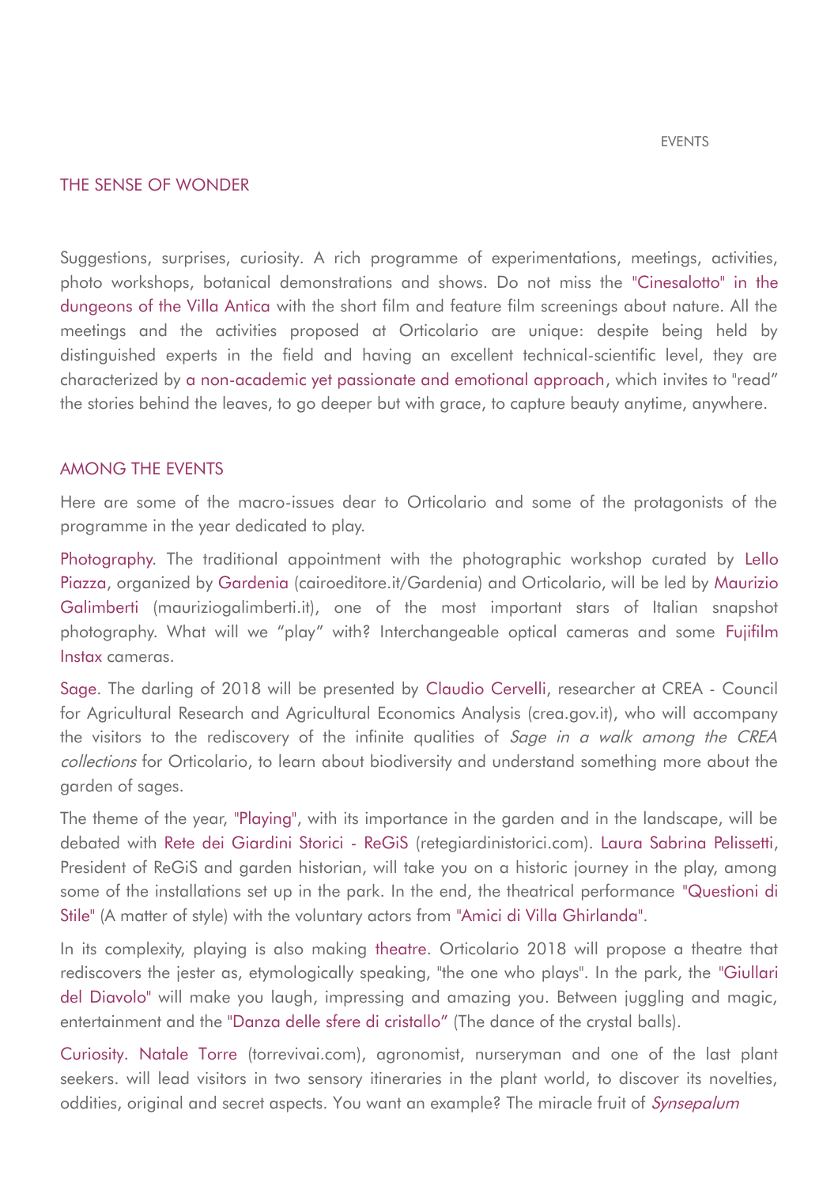#### THE SENSE OF WONDER

Suggestions, surprises, curiosity. A rich programme of experimentations, meetings, activities, photo workshops, botanical demonstrations and shows. Do not miss the "Cinesalotto" in the dungeons of the Villa Antica with the short film and feature film screenings about nature. All the meetings and the activities proposed at Orticolario are unique: despite being held by distinguished experts in the field and having an excellent technical-scientific level, they are characterized by a non-academic yet passionate and emotional approach, which invites to "read" the stories behind the leaves, to go deeper but with grace, to capture beauty anytime, anywhere.

#### AMONG THE EVENTS

Here are some of the macro-issues dear to Orticolario and some of the protagonists of the programme in the year dedicated to play.

Photography. The traditional appointment with the photographic workshop curated by Lello Piazza, organized by Gardenia (cairoeditore.it/Gardenia) and Orticolario, will be led by Maurizio Galimberti (mauriziogalimberti.it), one of the most important stars of Italian snapshot photography. What will we "play" with? Interchangeable optical cameras and some Fujifilm Instax cameras.

Sage. The darling of 2018 will be presented by Claudio Cervelli, researcher at CREA - Council for Agricultural Research and Agricultural Economics Analysis (crea.gov.it), who will accompany the visitors to the rediscovery of the infinite qualities of Sage in a walk among the CREA collections for Orticolario, to learn about biodiversity and understand something more about the garden of sages.

The theme of the year, "Playing", with its importance in the garden and in the landscape, will be debated with Rete dei Giardini Storici - ReGiS (retegiardinistorici.com). Laura Sabrina Pelissetti, President of ReGiS and garden historian, will take you on a historic journey in the play, among some of the installations set up in the park. In the end, the theatrical performance "Questioni di Stile" (A matter of style) with the voluntary actors from "Amici di Villa Ghirlanda".

In its complexity, playing is also making theatre. Orticolario 2018 will propose a theatre that rediscovers the jester as, etymologically speaking, "the one who plays". In the park, the "Giullari del Diavolo" will make you laugh, impressing and amazing you. Between juggling and magic, entertainment and the "Danza delle sfere di cristallo" (The dance of the crystal balls).

Curiosity. Natale Torre (torrevivai.com), agronomist, nurseryman and one of the last plant seekers. will lead visitors in two sensory itineraries in the plant world, to discover its novelties, oddities, original and secret aspects. You want an example? The miracle fruit of *Synsepalum*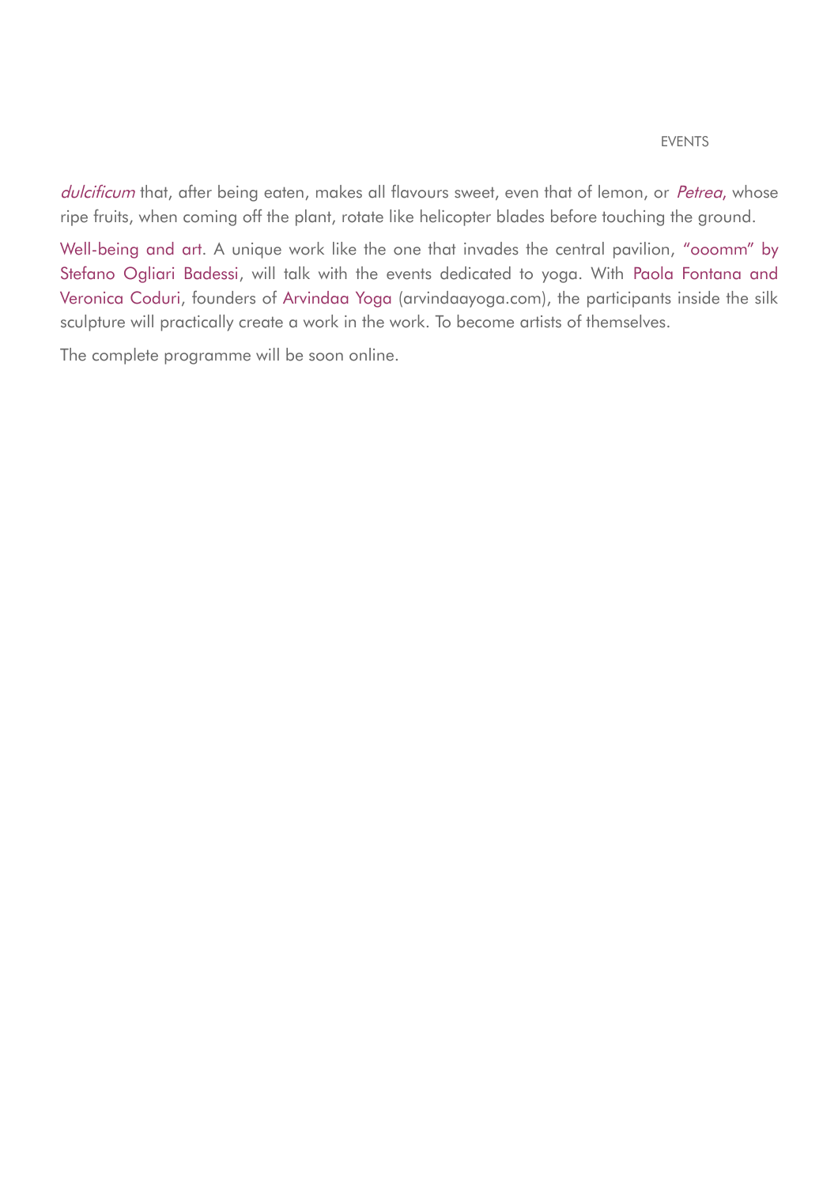#### EVENTS

dulcificum that, after being eaten, makes all flavours sweet, even that of lemon, or Petrea, whose ripe fruits, when coming off the plant, rotate like helicopter blades before touching the ground.

Well-being and art. A unique work like the one that invades the central pavilion, "ooomm" by Stefano Ogliari Badessi, will talk with the events dedicated to yoga. With Paola Fontana and Veronica Coduri, founders of Arvindaa Yoga (arvindaayoga.com), the participants inside the silk sculpture will practically create a work in the work. To become artists of themselves.

The complete programme will be soon online.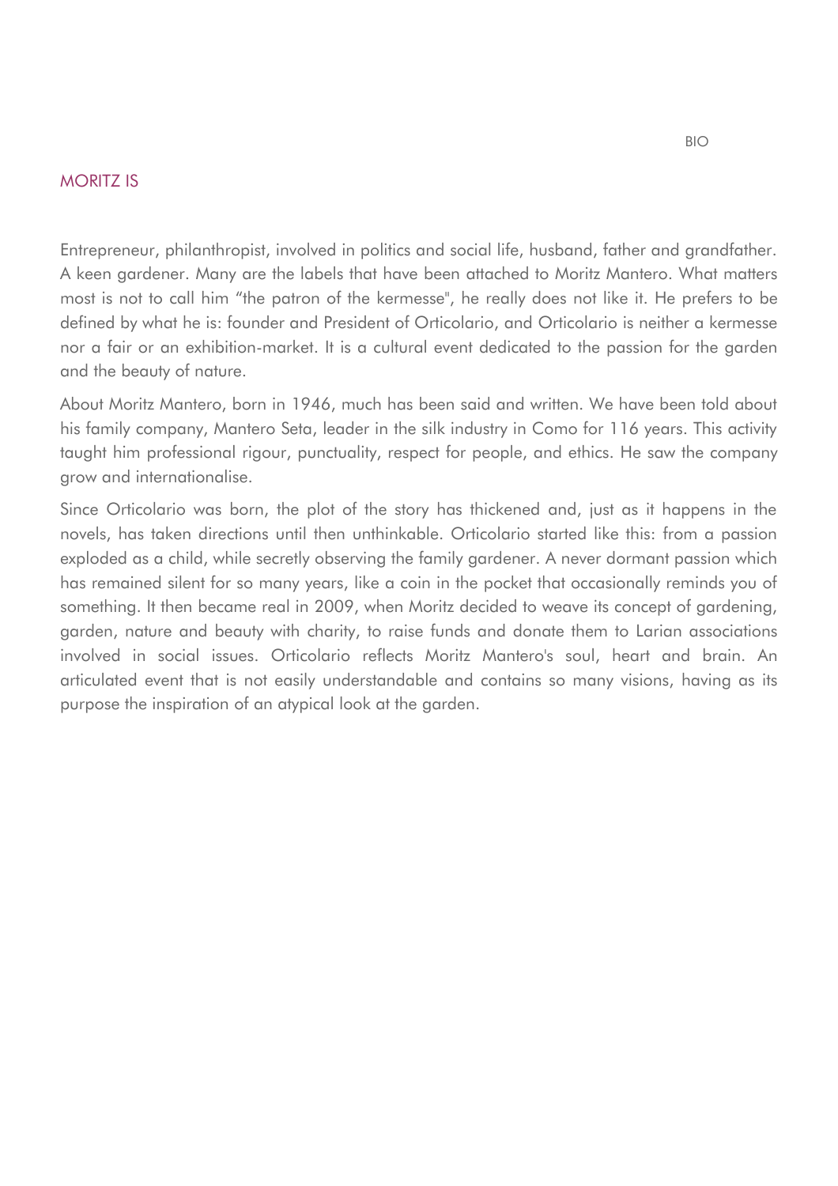## MORITZ IS

Entrepreneur, philanthropist, involved in politics and social life, husband, father and grandfather. A keen gardener. Many are the labels that have been attached to Moritz Mantero. What matters most is not to call him "the patron of the kermesse", he really does not like it. He prefers to be defined by what he is: founder and President of Orticolario, and Orticolario is neither a kermesse nor a fair or an exhibition-market. It is a cultural event dedicated to the passion for the garden and the beauty of nature.

About Moritz Mantero, born in 1946, much has been said and written. We have been told about his family company, Mantero Seta, leader in the silk industry in Como for 116 years. This activity taught him professional rigour, punctuality, respect for people, and ethics. He saw the company grow and internationalise.

Since Orticolario was born, the plot of the story has thickened and, just as it happens in the novels, has taken directions until then unthinkable. Orticolario started like this: from a passion exploded as a child, while secretly observing the family gardener. A never dormant passion which has remained silent for so many years, like a coin in the pocket that occasionally reminds you of something. It then became real in 2009, when Moritz decided to weave its concept of gardening, garden, nature and beauty with charity, to raise funds and donate them to Larian associations involved in social issues. Orticolario reflects Moritz Mantero's soul, heart and brain. An articulated event that is not easily understandable and contains so many visions, having as its purpose the inspiration of an atypical look at the garden.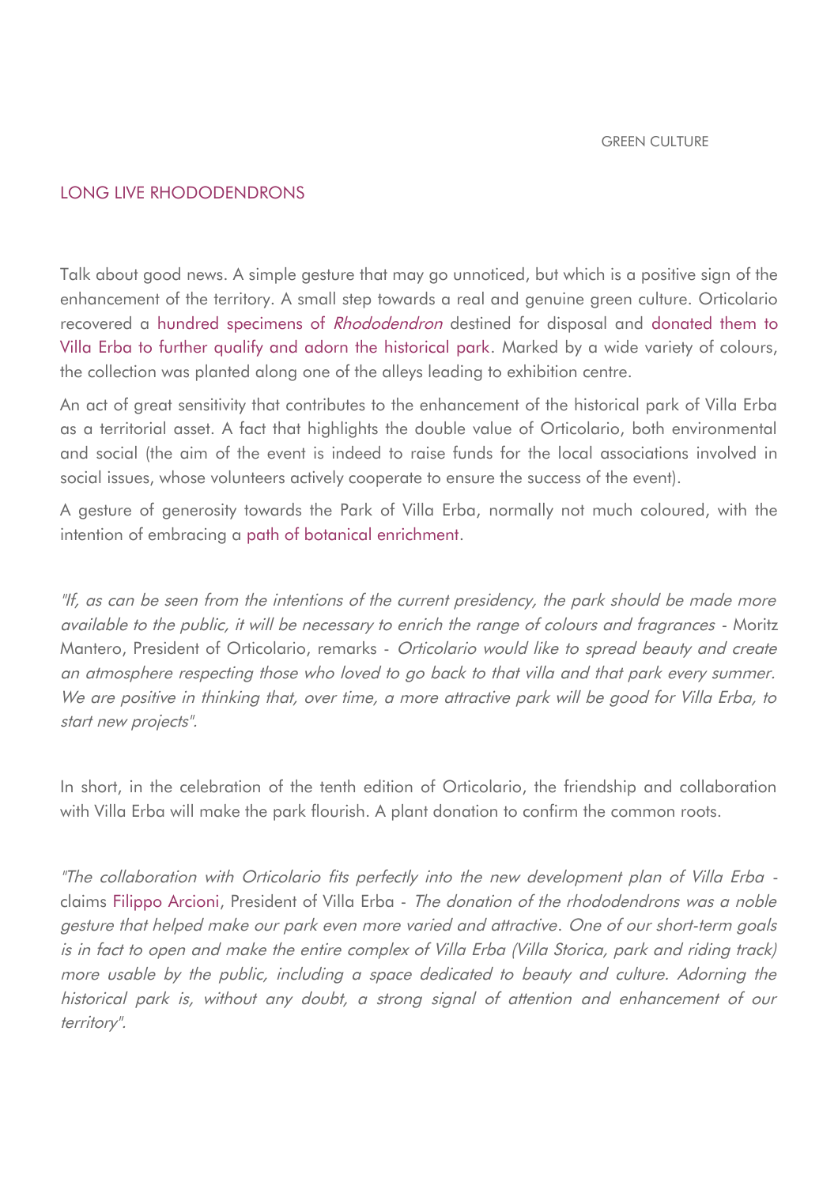## LONG LIVE RHODODENDRONS

Talk about good news. A simple gesture that may go unnoticed, but which is a positive sign of the enhancement of the territory. A small step towards a real and genuine green culture. Orticolario recovered a hundred specimens of Rhododendron destined for disposal and donated them to Villa Erba to further qualify and adorn the historical park. Marked by a wide variety of colours, the collection was planted along one of the alleys leading to exhibition centre.

An act of great sensitivity that contributes to the enhancement of the historical park of Villa Erba as a territorial asset. A fact that highlights the double value of Orticolario, both environmental and social (the aim of the event is indeed to raise funds for the local associations involved in social issues, whose volunteers actively cooperate to ensure the success of the event).

A gesture of generosity towards the Park of Villa Erba, normally not much coloured, with the intention of embracing a path of botanical enrichment.

"If, as can be seen from the intentions of the current presidency, the park should be made more available to the public, it will be necessary to enrich the range of colours and fragrances - Moritz Mantero, President of Orticolario, remarks - Orticolario would like to spread beauty and create an atmosphere respecting those who loved to go back to that villa and that park every summer. We are positive in thinking that, over time, a more attractive park will be good for Villa Erba, to start new projects".

In short, in the celebration of the tenth edition of Orticolario, the friendship and collaboration with Villa Erba will make the park flourish. A plant donation to confirm the common roots.

"The collaboration with Orticolario fits perfectly into the new development plan of Villa Erba claims Filippo Arcioni, President of Villa Erba - The donation of the rhododendrons was a noble gesture that helped make our park even more varied and attractive. One of our short-term goals is in fact to open and make the entire complex of Villa Erba (Villa Storica, park and riding track) more usable by the public, including a space dedicated to beauty and culture. Adorning the historical park is, without any doubt, a strong signal of attention and enhancement of our territory".